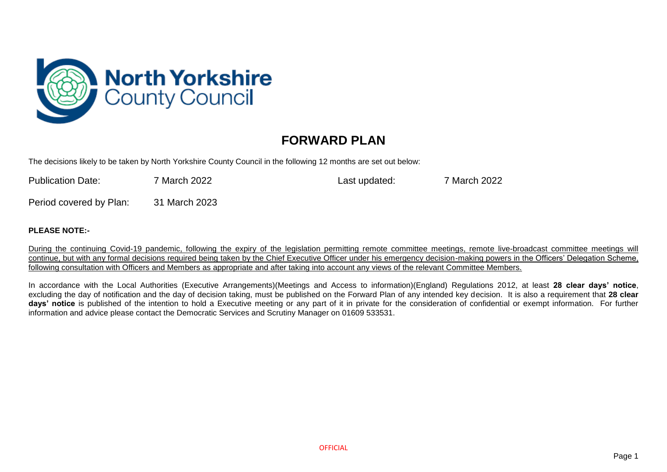

## **FORWARD PLAN**

The decisions likely to be taken by North Yorkshire County Council in the following 12 months are set out below:

| <b>Publication Date:</b> | <sup>7</sup> March 2022 | Last updated: | 7 March 2022 |
|--------------------------|-------------------------|---------------|--------------|
| __                       |                         |               |              |

Period covered by Plan: 31 March 2023

## **PLEASE NOTE:-**

During the continuing Covid-19 pandemic, following the expiry of the legislation permitting remote committee meetings, remote live-broadcast committee meetings will continue, but with any formal decisions required being taken by the Chief Executive Officer under his emergency decision-making powers in the Officers' Delegation Scheme, following consultation with Officers and Members as appropriate and after taking into account any views of the relevant Committee Members.

In accordance with the Local Authorities (Executive Arrangements)(Meetings and Access to information)(England) Regulations 2012, at least **28 clear days' notice**, excluding the day of notification and the day of decision taking, must be published on the Forward Plan of any intended key decision. It is also a requirement that **28 clear days' notice** is published of the intention to hold a Executive meeting or any part of it in private for the consideration of confidential or exempt information. For further information and advice please contact the Democratic Services and Scrutiny Manager on 01609 533531.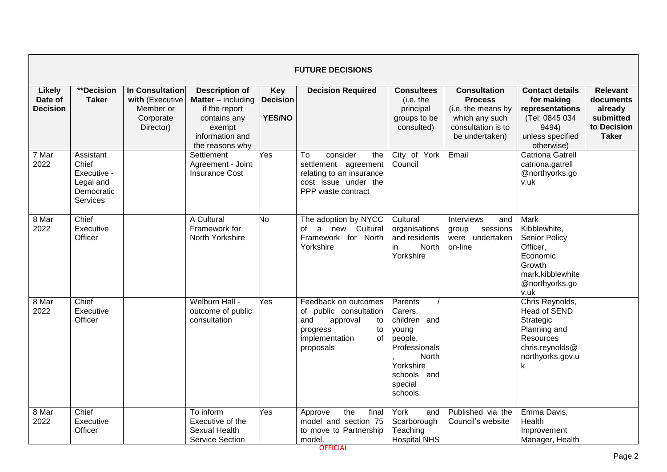|                                             | <b>FUTURE DECISIONS</b>                                                  |                                                                                  |                                                                                                                                       |                                                |                                                                                                                                |                                                                                                                                     |                                                                                                                       |                                                                                                                              |                                                                                     |  |  |
|---------------------------------------------|--------------------------------------------------------------------------|----------------------------------------------------------------------------------|---------------------------------------------------------------------------------------------------------------------------------------|------------------------------------------------|--------------------------------------------------------------------------------------------------------------------------------|-------------------------------------------------------------------------------------------------------------------------------------|-----------------------------------------------------------------------------------------------------------------------|------------------------------------------------------------------------------------------------------------------------------|-------------------------------------------------------------------------------------|--|--|
| <b>Likely</b><br>Date of<br><b>Decision</b> | <b>**Decision</b><br><b>Taker</b>                                        | <b>In Consultation</b><br>with (Executive<br>Member or<br>Corporate<br>Director) | <b>Description of</b><br><b>Matter</b> $-$ including<br>if the report<br>contains any<br>exempt<br>information and<br>the reasons why | <b>Key</b><br><b>Decision</b><br><b>YES/NO</b> | <b>Decision Required</b>                                                                                                       | <b>Consultees</b><br>(i.e. the<br>principal<br>groups to be<br>consulted)                                                           | <b>Consultation</b><br><b>Process</b><br>(i.e. the means by<br>which any such<br>consultation is to<br>be undertaken) | <b>Contact details</b><br>for making<br>representations<br>(Tel: 0845 034<br>9494)<br>unless specified<br>otherwise)         | <b>Relevant</b><br>documents<br>already<br>submitted<br>to Decision<br><b>Taker</b> |  |  |
| 7 Mar<br>2022                               | Assistant<br>Chief<br>Executive -<br>Legal and<br>Democratic<br>Services |                                                                                  | Settlement<br>Agreement - Joint<br><b>Insurance Cost</b>                                                                              | Yes                                            | consider<br>To<br>the<br>settlement agreement<br>relating to an insurance<br>cost issue under the<br>PPP waste contract        | City of York<br>Council                                                                                                             | Email                                                                                                                 | <b>Catriona Gatrell</b><br>catriona.gatrell<br>@northyorks.go<br>v.uk                                                        |                                                                                     |  |  |
| 8 Mar<br>2022                               | Chief<br>Executive<br>Officer                                            |                                                                                  | A Cultural<br>Framework for<br>North Yorkshire                                                                                        | No                                             | The adoption by NYCC<br>a new Cultural<br>of<br>Framework for North<br>Yorkshire                                               | Cultural<br>organisations<br>and residents<br><b>North</b><br>in.<br>Yorkshire                                                      | <b>Interviews</b><br>and<br>group<br>sessions<br>were undertaken<br>on-line                                           | Mark<br>Kibblewhite,<br><b>Senior Policy</b><br>Officer,<br>Economic<br>Growth<br>mark.kibblewhite<br>@northyorks.go<br>v.uk |                                                                                     |  |  |
| 8 Mar<br>2022                               | Chief<br>Executive<br>Officer                                            |                                                                                  | Welburn Hall -<br>outcome of public<br>consultation                                                                                   | Yes                                            | Feedback on outcomes<br>of public consultation<br>and<br>approval<br>to<br>progress<br>to<br>implementation<br>of<br>proposals | Parents<br>Carers,<br>children and<br>young<br>people,<br>Professionals<br>North<br>Yorkshire<br>schools and<br>special<br>schools. |                                                                                                                       | Chris Reynolds,<br><b>Head of SEND</b><br>Strategic<br>Planning and<br>Resources<br>chris.reynolds@<br>northyorks.gov.u<br>k |                                                                                     |  |  |
| 8 Mar<br>2022                               | Chief<br>Executive<br>Officer                                            |                                                                                  | To inform<br>Executive of the<br>Sexual Health<br><b>Service Section</b>                                                              | Yes                                            | the<br>final<br>Approve<br>model and section 75<br>to move to Partnership<br>model.                                            | York<br>and<br>Scarborough<br>Teaching<br><b>Hospital NHS</b>                                                                       | Published via the<br>Council's website                                                                                | Emma Davis,<br>Health<br>Improvement<br>Manager, Health                                                                      |                                                                                     |  |  |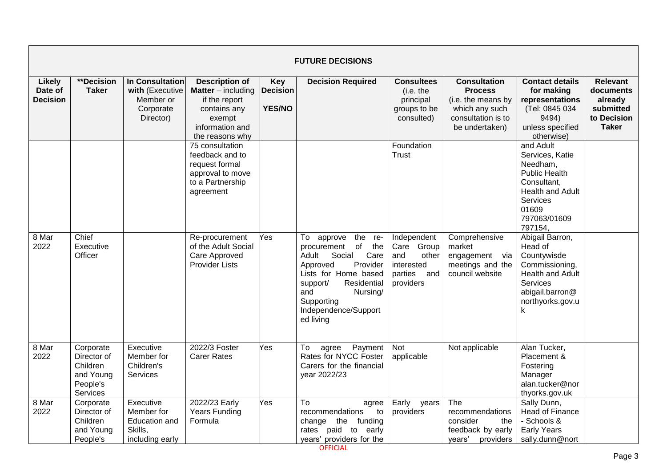|                                             |                                                                           |                                                                           |                                                                                                                                     |                                                | <b>FUTURE DECISIONS</b>                                                                                                                                                                                                       |                                                                                        |                                                                                                                       |                                                                                                                                                            |                                                                              |
|---------------------------------------------|---------------------------------------------------------------------------|---------------------------------------------------------------------------|-------------------------------------------------------------------------------------------------------------------------------------|------------------------------------------------|-------------------------------------------------------------------------------------------------------------------------------------------------------------------------------------------------------------------------------|----------------------------------------------------------------------------------------|-----------------------------------------------------------------------------------------------------------------------|------------------------------------------------------------------------------------------------------------------------------------------------------------|------------------------------------------------------------------------------|
| <b>Likely</b><br>Date of<br><b>Decision</b> | **Decision<br><b>Taker</b>                                                | In Consultation<br>with (Executive<br>Member or<br>Corporate<br>Director) | <b>Description of</b><br><b>Matter</b> – including<br>if the report<br>contains any<br>exempt<br>information and<br>the reasons why | <b>Key</b><br><b>Decision</b><br><b>YES/NO</b> | <b>Decision Required</b>                                                                                                                                                                                                      | <b>Consultees</b><br>(i.e. the<br>principal<br>groups to be<br>consulted)              | <b>Consultation</b><br><b>Process</b><br>(i.e. the means by<br>which any such<br>consultation is to<br>be undertaken) | <b>Contact details</b><br>for making<br>representations<br>(Tel: 0845 034<br>9494)<br>unless specified<br>otherwise)                                       | Relevant<br>documents<br>already<br>submitted<br>to Decision<br><b>Taker</b> |
|                                             |                                                                           |                                                                           | 75 consultation<br>feedback and to<br>request formal<br>approval to move<br>to a Partnership<br>agreement                           |                                                |                                                                                                                                                                                                                               | Foundation<br>Trust                                                                    |                                                                                                                       | and Adult<br>Services, Katie<br>Needham,<br><b>Public Health</b><br>Consultant,<br><b>Health and Adult</b><br>Services<br>01609<br>797063/01609<br>797154, |                                                                              |
| 8 Mar<br>2022                               | Chief<br>Executive<br>Officer                                             |                                                                           | Re-procurement<br>of the Adult Social<br>Care Approved<br><b>Provider Lists</b>                                                     | Yes                                            | To<br>the re-<br>approve<br>of the<br>procurement<br>Adult<br>Social<br>Care<br>Provider<br>Approved<br>Lists for Home based<br>support/<br>Residential<br>and<br>Nursing/<br>Supporting<br>Independence/Support<br>ed living | Independent<br>Care Group<br>and<br>other<br>interested<br>parties<br>and<br>providers | Comprehensive<br>market<br>engagement via<br>meetings and the<br>council website                                      | Abigail Barron,<br>Head of<br>Countywisde<br>Commissioning,<br>Health and Adult<br>Services<br>abigail.barron@<br>northyorks.gov.u<br>k                    |                                                                              |
| 8 Mar<br>2022                               | Corporate<br>Director of<br>Children<br>and Young<br>People's<br>Services | Executive<br>Member for<br>Children's<br>Services                         | 2022/3 Foster<br><b>Carer Rates</b>                                                                                                 | Yes                                            | Payment<br>To<br>agree<br>Rates for NYCC Foster<br>Carers for the financial<br>year 2022/23                                                                                                                                   | <b>Not</b><br>applicable                                                               | Not applicable                                                                                                        | Alan Tucker,<br>Placement &<br>Fostering<br>Manager<br>alan.tucker@nor<br>thyorks.gov.uk                                                                   |                                                                              |
| 8 Mar<br>2022                               | Corporate<br>Director of<br>Children<br>and Young<br>People's             | Executive<br>Member for<br>Education and<br>Skills,<br>including early    | 2022/23 Early<br>Years Funding<br>Formula                                                                                           | Yes                                            | To<br>agree<br>recommendations<br>to<br>change the funding<br>paid<br>rates<br>to<br>early<br>years' providers for the                                                                                                        | Early<br>years<br>providers                                                            | The<br>recommendations<br>consider<br>the<br>feedback by early<br>years'<br>providers                                 | Sally Dunn,<br><b>Head of Finance</b><br>- Schools &<br><b>Early Years</b><br>sally.dunn@nort                                                              |                                                                              |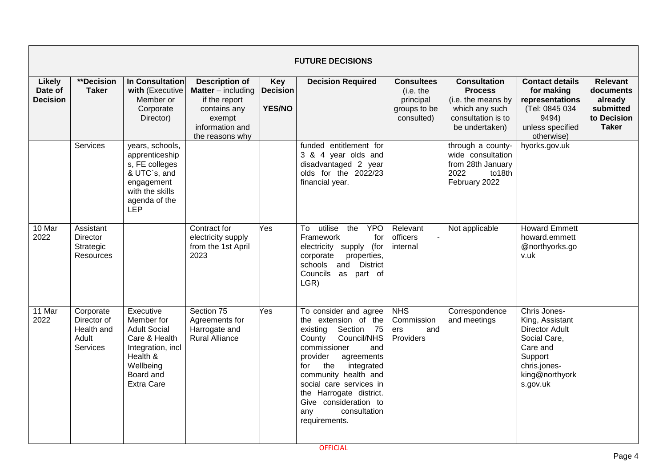|                                             |                                                               |                                                                                                                                                 |                                                                                                                                     |                                                | <b>FUTURE DECISIONS</b>                                                                                                                                                                                                                                                                                                      |                                                                           |                                                                                                                       |                                                                                                                                               |                                                                                     |
|---------------------------------------------|---------------------------------------------------------------|-------------------------------------------------------------------------------------------------------------------------------------------------|-------------------------------------------------------------------------------------------------------------------------------------|------------------------------------------------|------------------------------------------------------------------------------------------------------------------------------------------------------------------------------------------------------------------------------------------------------------------------------------------------------------------------------|---------------------------------------------------------------------------|-----------------------------------------------------------------------------------------------------------------------|-----------------------------------------------------------------------------------------------------------------------------------------------|-------------------------------------------------------------------------------------|
| <b>Likely</b><br>Date of<br><b>Decision</b> | **Decision<br><b>Taker</b>                                    | In Consultation<br>with (Executive<br>Member or<br>Corporate<br>Director)                                                                       | <b>Description of</b><br><b>Matter</b> – including<br>if the report<br>contains any<br>exempt<br>information and<br>the reasons why | <b>Key</b><br><b>Decision</b><br><b>YES/NO</b> | <b>Decision Required</b>                                                                                                                                                                                                                                                                                                     | <b>Consultees</b><br>(i.e. the<br>principal<br>groups to be<br>consulted) | <b>Consultation</b><br><b>Process</b><br>(i.e. the means by<br>which any such<br>consultation is to<br>be undertaken) | <b>Contact details</b><br>for making<br>representations<br>(Tel: 0845 034<br>9494)<br>unless specified<br>otherwise)                          | <b>Relevant</b><br>documents<br>already<br>submitted<br>to Decision<br><b>Taker</b> |
|                                             | Services                                                      | years, schools,<br>apprenticeship<br>s, FE colleges<br>& UTC`s, and<br>engagement<br>with the skills<br>agenda of the<br><b>LEP</b>             |                                                                                                                                     |                                                | funded entitlement for<br>3 & 4 year olds and<br>disadvantaged 2 year<br>olds for the 2022/23<br>financial year.                                                                                                                                                                                                             |                                                                           | through a county-<br>wide consultation<br>from 28th January<br>2022<br>to18th<br>February 2022                        | hyorks.gov.uk                                                                                                                                 |                                                                                     |
| $\overline{10}$ Mar<br>2022                 | Assistant<br><b>Director</b><br>Strategic<br><b>Resources</b> |                                                                                                                                                 | Contract for<br>electricity supply<br>from the 1st April<br>2023                                                                    | Yes                                            | utilise<br>To<br>the<br><b>YPO</b><br>Framework<br>for<br>(for<br>electricity supply<br>corporate<br>properties,<br>schools and<br><b>District</b><br>Councils as part of<br>LGR)                                                                                                                                            | Relevant<br>officers<br>internal                                          | Not applicable                                                                                                        | <b>Howard Emmett</b><br>howard.emmett<br>@northyorks.go<br>v.uk                                                                               |                                                                                     |
| 11 Mar<br>2022                              | Corporate<br>Director of<br>Health and<br>Adult<br>Services   | Executive<br>Member for<br><b>Adult Social</b><br>Care & Health<br>Integration, incl<br>Health &<br>Wellbeing<br>Board and<br><b>Extra Care</b> | Section 75<br>Agreements for<br>Harrogate and<br><b>Rural Alliance</b>                                                              | Yes                                            | To consider and agree<br>the extension of the<br>existing<br>Section 75<br>Council/NHS<br>County<br>commissioner<br>and<br>provider<br>agreements<br>the<br>integrated<br>for<br>community health and<br>social care services in<br>the Harrogate district.<br>Give consideration to<br>consultation<br>any<br>requirements. | <b>NHS</b><br>Commission<br>and<br>ers<br>Providers                       | Correspondence<br>and meetings                                                                                        | Chris Jones-<br>King, Assistant<br><b>Director Adult</b><br>Social Care,<br>Care and<br>Support<br>chris.jones-<br>king@northyork<br>s.gov.uk |                                                                                     |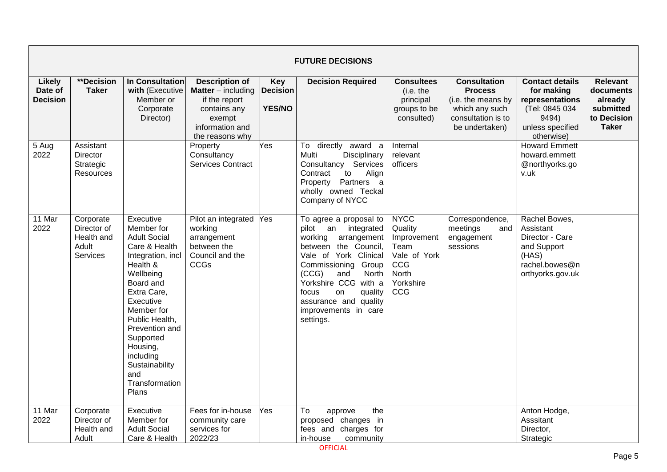|                                      |                                                             |                                                                                                                                                                                                                                                                                                    |                                                                                                                                       |                                                | <b>FUTURE DECISIONS</b>                                                                                                                                                                                                                                                                     |                                                                                                   |                                                                                                                       |                                                                                                                      |                                                                                     |
|--------------------------------------|-------------------------------------------------------------|----------------------------------------------------------------------------------------------------------------------------------------------------------------------------------------------------------------------------------------------------------------------------------------------------|---------------------------------------------------------------------------------------------------------------------------------------|------------------------------------------------|---------------------------------------------------------------------------------------------------------------------------------------------------------------------------------------------------------------------------------------------------------------------------------------------|---------------------------------------------------------------------------------------------------|-----------------------------------------------------------------------------------------------------------------------|----------------------------------------------------------------------------------------------------------------------|-------------------------------------------------------------------------------------|
| Likely<br>Date of<br><b>Decision</b> | **Decision<br><b>Taker</b>                                  | In Consultation<br>with (Executive<br>Member or<br>Corporate<br>Director)                                                                                                                                                                                                                          | <b>Description of</b><br><b>Matter</b> $-$ including<br>if the report<br>contains any<br>exempt<br>information and<br>the reasons why | <b>Key</b><br><b>Decision</b><br><b>YES/NO</b> | <b>Decision Required</b>                                                                                                                                                                                                                                                                    | <b>Consultees</b><br>(i.e. the<br>principal<br>groups to be<br>consulted)                         | <b>Consultation</b><br><b>Process</b><br>(i.e. the means by<br>which any such<br>consultation is to<br>be undertaken) | <b>Contact details</b><br>for making<br>representations<br>(Tel: 0845 034<br>9494)<br>unless specified<br>otherwise) | <b>Relevant</b><br>documents<br>already<br>submitted<br>to Decision<br><b>Taker</b> |
| 5 Aug<br>2022                        | Assistant<br><b>Director</b><br>Strategic<br>Resources      |                                                                                                                                                                                                                                                                                                    | Property<br>Consultancy<br><b>Services Contract</b>                                                                                   | Yes                                            | To directly award a<br>Multi<br>Disciplinary<br>Consultancy Services<br>Contract<br>to<br>Align<br>Property Partners a<br>wholly owned Teckal<br>Company of NYCC                                                                                                                            | Internal<br>relevant<br>officers                                                                  |                                                                                                                       | <b>Howard Emmett</b><br>howard.emmett<br>@northyorks.go<br>v.uk                                                      |                                                                                     |
| 11 Mar<br>2022                       | Corporate<br>Director of<br>Health and<br>Adult<br>Services | Executive<br>Member for<br><b>Adult Social</b><br>Care & Health<br>Integration, incl<br>Health &<br>Wellbeing<br>Board and<br>Extra Care,<br>Executive<br>Member for<br>Public Health,<br>Prevention and<br>Supported<br>Housing,<br>including<br>Sustainability<br>and<br>Transformation<br>Plans | Pilot an integrated<br>working<br>arrangement<br>between the<br>Council and the<br>CCGs                                               | Yes                                            | To agree a proposal to<br>pilot an<br>integrated<br>working<br>arrangement<br>between the Council,<br>Vale of York Clinical<br>Commissioning Group<br>(CCG)<br>North<br>and<br>Yorkshire CCG with a<br>focus<br>on<br>quality<br>assurance and quality<br>improvements in care<br>settings. | <b>NYCC</b><br>Quality<br>Improvement<br>Team<br>Vale of York<br>CCG<br>North<br>Yorkshire<br>CCG | Correspondence,<br>meetings<br>and<br>engagement<br>sessions                                                          | Rachel Bowes,<br>Assistant<br>Director - Care<br>and Support<br>(HAS)<br>rachel.bowes@n<br>orthyorks.gov.uk          |                                                                                     |
| 11 Mar<br>2022                       | Corporate<br>Director of<br>Health and<br>Adult             | Executive<br>Member for<br><b>Adult Social</b><br>Care & Health                                                                                                                                                                                                                                    | Fees for in-house<br>community care<br>services for<br>2022/23                                                                        | Yes                                            | To<br>the<br>approve<br>proposed changes in<br>fees and charges for<br>in-house<br>community                                                                                                                                                                                                |                                                                                                   |                                                                                                                       | Anton Hodge,<br>Asssitant<br>Director,<br>Strategic                                                                  |                                                                                     |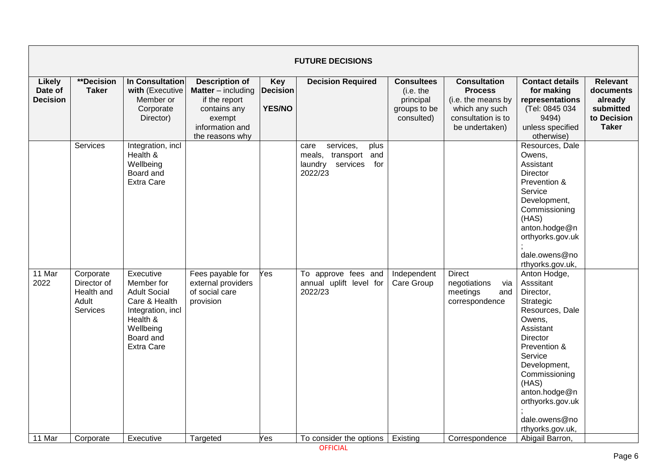|                                             | <b>FUTURE DECISIONS</b>                                     |                                                                                                                                                 |                                                                                                                                     |                                                |                                                                                                  |                                                                           |                                                                                                                       |                                                                                                                                                                                                                                                          |                                                                                     |  |  |  |  |
|---------------------------------------------|-------------------------------------------------------------|-------------------------------------------------------------------------------------------------------------------------------------------------|-------------------------------------------------------------------------------------------------------------------------------------|------------------------------------------------|--------------------------------------------------------------------------------------------------|---------------------------------------------------------------------------|-----------------------------------------------------------------------------------------------------------------------|----------------------------------------------------------------------------------------------------------------------------------------------------------------------------------------------------------------------------------------------------------|-------------------------------------------------------------------------------------|--|--|--|--|
| <b>Likely</b><br>Date of<br><b>Decision</b> | <b>**Decision</b><br><b>Taker</b>                           | In Consultation<br>with (Executive<br>Member or<br>Corporate<br>Director)                                                                       | <b>Description of</b><br><b>Matter</b> – including<br>if the report<br>contains any<br>exempt<br>information and<br>the reasons why | <b>Key</b><br><b>Decision</b><br><b>YES/NO</b> | <b>Decision Required</b>                                                                         | <b>Consultees</b><br>(i.e. the<br>principal<br>groups to be<br>consulted) | <b>Consultation</b><br><b>Process</b><br>(i.e. the means by<br>which any such<br>consultation is to<br>be undertaken) | <b>Contact details</b><br>for making<br>representations<br>(Tel: 0845 034<br>9494)<br>unless specified<br>otherwise)                                                                                                                                     | <b>Relevant</b><br>documents<br>already<br>submitted<br>to Decision<br><b>Taker</b> |  |  |  |  |
|                                             | Services                                                    | Integration, incl<br>Health &<br>Wellbeing<br>Board and<br><b>Extra Care</b>                                                                    |                                                                                                                                     |                                                | services,<br>plus<br>care<br>meals,<br>transport<br>and<br>laundry<br>services<br>for<br>2022/23 |                                                                           |                                                                                                                       | Resources, Dale<br>Owens,<br>Assistant<br>Director<br>Prevention &<br>Service<br>Development,<br>Commissioning<br>(HAS)<br>anton.hodge@n<br>orthyorks.gov.uk<br>dale.owens@no<br>rthyorks.gov.uk,                                                        |                                                                                     |  |  |  |  |
| 11 Mar<br>2022                              | Corporate<br>Director of<br>Health and<br>Adult<br>Services | Executive<br>Member for<br><b>Adult Social</b><br>Care & Health<br>Integration, incl<br>Health &<br>Wellbeing<br>Board and<br><b>Extra Care</b> | Fees payable for<br>external providers<br>of social care<br>provision                                                               | Yes                                            | To approve fees and<br>annual uplift level for<br>2022/23                                        | Independent<br>Care Group                                                 | <b>Direct</b><br>negotiations<br>via<br>meetings<br>and<br>correspondence                                             | Anton Hodge,<br>Asssitant<br>Director,<br>Strategic<br>Resources, Dale<br>Owens,<br>Assistant<br>Director<br>Prevention &<br>Service<br>Development,<br>Commissioning<br>(HAS)<br>anton.hodge@n<br>orthyorks.gov.uk<br>dale.owens@no<br>rthyorks.gov.uk, |                                                                                     |  |  |  |  |
| 11 Mar                                      | Corporate                                                   | Executive                                                                                                                                       | Targeted                                                                                                                            | Yes                                            | To consider the options                                                                          | Existing                                                                  | Correspondence                                                                                                        | Abigail Barron,                                                                                                                                                                                                                                          |                                                                                     |  |  |  |  |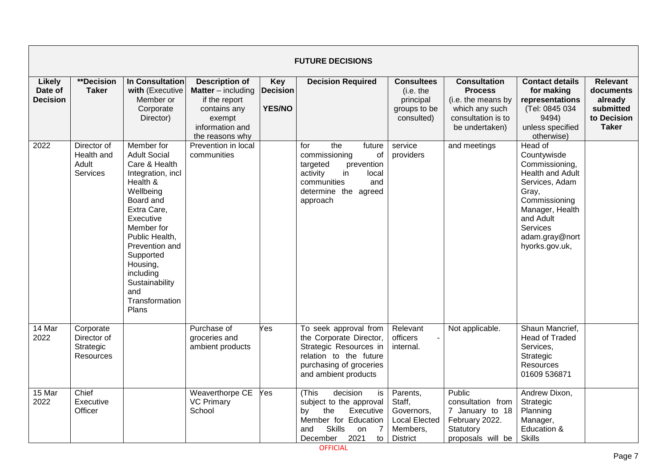|                                      | <b>FUTURE DECISIONS</b>                            |                                                                                                                                                                                                                                                                                       |                                                                                                                                       |                                         |                                                                                                                                                                                |                                                                                         |                                                                                                                       |                                                                                                                                                                                                 |                                                                                     |  |  |
|--------------------------------------|----------------------------------------------------|---------------------------------------------------------------------------------------------------------------------------------------------------------------------------------------------------------------------------------------------------------------------------------------|---------------------------------------------------------------------------------------------------------------------------------------|-----------------------------------------|--------------------------------------------------------------------------------------------------------------------------------------------------------------------------------|-----------------------------------------------------------------------------------------|-----------------------------------------------------------------------------------------------------------------------|-------------------------------------------------------------------------------------------------------------------------------------------------------------------------------------------------|-------------------------------------------------------------------------------------|--|--|
| Likely<br>Date of<br><b>Decision</b> | **Decision<br><b>Taker</b>                         | <b>In Consultation</b><br>with (Executive<br>Member or<br>Corporate<br>Director)                                                                                                                                                                                                      | <b>Description of</b><br><b>Matter</b> $-$ including<br>if the report<br>contains any<br>exempt<br>information and<br>the reasons why | Key<br><b>Decision</b><br><b>YES/NO</b> | <b>Decision Required</b>                                                                                                                                                       | <b>Consultees</b><br>(i.e. the<br>principal<br>groups to be<br>consulted)               | <b>Consultation</b><br><b>Process</b><br>(i.e. the means by<br>which any such<br>consultation is to<br>be undertaken) | <b>Contact details</b><br>for making<br>representations<br>(Tel: 0845 034<br>9494)<br>unless specified<br>otherwise)                                                                            | <b>Relevant</b><br>documents<br>already<br>submitted<br>to Decision<br><b>Taker</b> |  |  |
| 2022                                 | Director of<br>Health and<br>Adult<br>Services     | Member for<br><b>Adult Social</b><br>Care & Health<br>Integration, incl<br>Health &<br>Wellbeing<br>Board and<br>Extra Care,<br>Executive<br>Member for<br>Public Health,<br>Prevention and<br>Supported<br>Housing,<br>including<br>Sustainability<br>and<br>Transformation<br>Plans | Prevention in local<br>communities                                                                                                    |                                         | the<br>future<br>for<br>commissioning<br>οf<br>targeted<br>prevention<br>activity<br>in<br>local<br>communities<br>and<br>determine the agreed<br>approach                     | service<br>providers                                                                    | and meetings                                                                                                          | Head of<br>Countywisde<br>Commissioning,<br>Health and Adult<br>Services, Adam<br>Gray,<br>Commissioning<br>Manager, Health<br>and Adult<br><b>Services</b><br>adam.gray@nort<br>hyorks.gov.uk, |                                                                                     |  |  |
| 14 Mar<br>2022                       | Corporate<br>Director of<br>Strategic<br>Resources |                                                                                                                                                                                                                                                                                       | Purchase of<br>groceries and<br>ambient products                                                                                      | Yes                                     | To seek approval from<br>the Corporate Director,<br>Strategic Resources in<br>relation to the future<br>purchasing of groceries<br>and ambient products                        | Relevant<br>officers<br>internal.                                                       | Not applicable.                                                                                                       | Shaun Mancrief,<br><b>Head of Traded</b><br>Services,<br>Strategic<br>Resources<br>01609 536871                                                                                                 |                                                                                     |  |  |
| 15 Mar<br>2022                       | Chief<br>Executive<br>Officer                      |                                                                                                                                                                                                                                                                                       | Weaverthorpe CE<br><b>VC Primary</b><br>School                                                                                        | Yes                                     | (This<br>decision<br>is<br>subject to the approval<br>Executive<br>by<br>the<br>Member for Education<br><b>Skills</b><br>$\overline{7}$<br>and<br>on<br>2021<br>to<br>December | Parents,<br>Staff,<br>Governors,<br><b>Local Elected</b><br>Members,<br><b>District</b> | Public<br>consultation from<br>7 January to 18<br>February 2022.<br>Statutory<br>proposals will be                    | Andrew Dixon,<br>Strategic<br>Planning<br>Manager,<br>Education &<br><b>Skills</b>                                                                                                              |                                                                                     |  |  |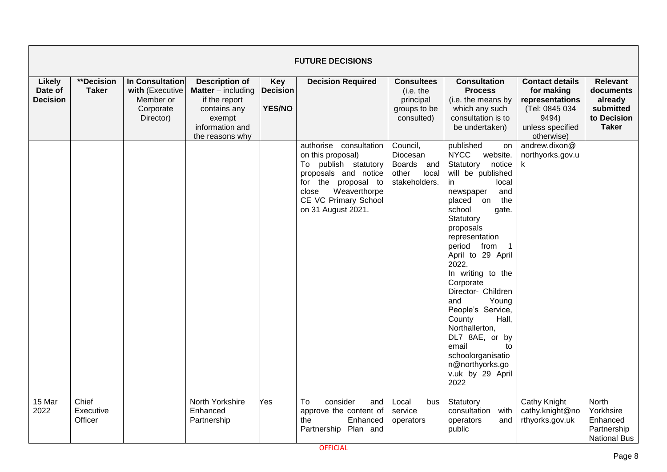|                                             | <b>FUTURE DECISIONS</b>       |                                                                           |                                                                                                                                     |                                                |                                                                                                                                                                                           |                                                                           |                                                                                                                                                                                                                                                                                                                                                                                                                                                                                                                        |                                                                                                                      |                                                                                     |  |  |  |
|---------------------------------------------|-------------------------------|---------------------------------------------------------------------------|-------------------------------------------------------------------------------------------------------------------------------------|------------------------------------------------|-------------------------------------------------------------------------------------------------------------------------------------------------------------------------------------------|---------------------------------------------------------------------------|------------------------------------------------------------------------------------------------------------------------------------------------------------------------------------------------------------------------------------------------------------------------------------------------------------------------------------------------------------------------------------------------------------------------------------------------------------------------------------------------------------------------|----------------------------------------------------------------------------------------------------------------------|-------------------------------------------------------------------------------------|--|--|--|
| <b>Likely</b><br>Date of<br><b>Decision</b> | **Decision<br><b>Taker</b>    | In Consultation<br>with (Executive<br>Member or<br>Corporate<br>Director) | <b>Description of</b><br><b>Matter</b> – including<br>if the report<br>contains any<br>exempt<br>information and<br>the reasons why | <b>Key</b><br><b>Decision</b><br><b>YES/NO</b> | <b>Decision Required</b>                                                                                                                                                                  | <b>Consultees</b><br>(i.e. the<br>principal<br>groups to be<br>consulted) | <b>Consultation</b><br><b>Process</b><br>(i.e. the means by<br>which any such<br>consultation is to<br>be undertaken)                                                                                                                                                                                                                                                                                                                                                                                                  | <b>Contact details</b><br>for making<br>representations<br>(Tel: 0845 034<br>9494)<br>unless specified<br>otherwise) | <b>Relevant</b><br>documents<br>already<br>submitted<br>to Decision<br><b>Taker</b> |  |  |  |
|                                             |                               |                                                                           |                                                                                                                                     |                                                | authorise consultation<br>on this proposal)<br>To publish statutory<br>proposals and notice<br>for the proposal to<br>Weaverthorpe<br>close<br>CE VC Primary School<br>on 31 August 2021. | Council,<br>Diocesan<br>Boards<br>and<br>other<br>local<br>stakeholders.  | published<br>on<br><b>NYCC</b><br>website.<br>Statutory<br>notice<br>will be published<br>local<br>in.<br>and<br>newspaper<br>placed<br>on<br>the<br>school<br>gate.<br>Statutory<br>proposals<br>representation<br>period from<br>$\overline{1}$<br>April to 29 April<br>2022.<br>In writing to the<br>Corporate<br>Director- Children<br>Young<br>and<br>People's Service,<br>Hall,<br>County<br>Northallerton,<br>DL7 8AE, or by<br>email<br>to<br>schoolorganisatio<br>n@northyorks.go<br>v.uk by 29 April<br>2022 | andrew.dixon@<br>northyorks.gov.u<br>k                                                                               |                                                                                     |  |  |  |
| 15 Mar<br>2022                              | Chief<br>Executive<br>Officer |                                                                           | North Yorkshire<br>Enhanced<br>Partnership                                                                                          | Yes                                            | consider<br>To<br>and<br>approve the content of<br>the<br>Enhanced<br>Partnership Plan and                                                                                                | Local<br>bus<br>service<br>operators                                      | Statutory<br>consultation with<br>operators<br>and<br>public                                                                                                                                                                                                                                                                                                                                                                                                                                                           | Cathy Knight<br>cathy.knight@no<br>rthyorks.gov.uk                                                                   | North<br>Yorkhsire<br>Enhanced<br>Partnership<br><b>National Bus</b>                |  |  |  |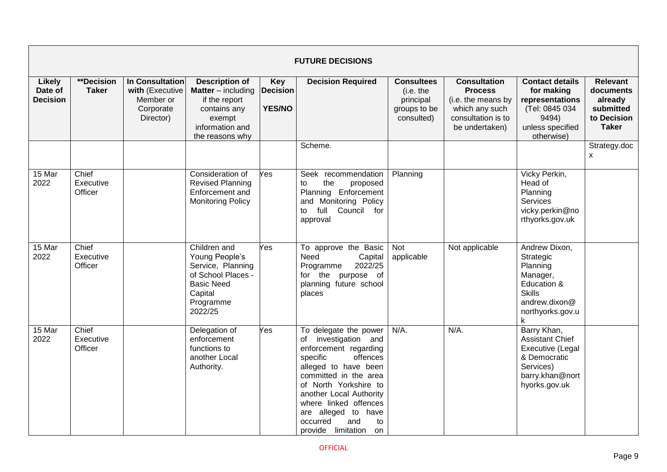|                                             | <b>FUTURE DECISIONS</b>           |                                                                                  |                                                                                                                                     |                                                |                                                                                                                                                                                                                                                                                                                    |                                                                           |                                                                                                                       |                                                                                                                              |                                                                                     |  |  |  |
|---------------------------------------------|-----------------------------------|----------------------------------------------------------------------------------|-------------------------------------------------------------------------------------------------------------------------------------|------------------------------------------------|--------------------------------------------------------------------------------------------------------------------------------------------------------------------------------------------------------------------------------------------------------------------------------------------------------------------|---------------------------------------------------------------------------|-----------------------------------------------------------------------------------------------------------------------|------------------------------------------------------------------------------------------------------------------------------|-------------------------------------------------------------------------------------|--|--|--|
| <b>Likely</b><br>Date of<br><b>Decision</b> | <b>**Decision</b><br><b>Taker</b> | <b>In Consultation</b><br>with (Executive<br>Member or<br>Corporate<br>Director) | <b>Description of</b><br><b>Matter</b> – including<br>if the report<br>contains any<br>exempt<br>information and<br>the reasons why | <b>Key</b><br><b>Decision</b><br><b>YES/NO</b> | <b>Decision Required</b>                                                                                                                                                                                                                                                                                           | <b>Consultees</b><br>(i.e. the<br>principal<br>groups to be<br>consulted) | <b>Consultation</b><br><b>Process</b><br>(i.e. the means by<br>which any such<br>consultation is to<br>be undertaken) | <b>Contact details</b><br>for making<br>representations<br>(Tel: 0845 034<br>9494)<br>unless specified<br>otherwise)         | <b>Relevant</b><br>documents<br>already<br>submitted<br>to Decision<br><b>Taker</b> |  |  |  |
|                                             |                                   |                                                                                  |                                                                                                                                     |                                                | Scheme.                                                                                                                                                                                                                                                                                                            |                                                                           |                                                                                                                       |                                                                                                                              | Strategy.doc<br>$\mathsf{X}$                                                        |  |  |  |
| 15 Mar<br>2022                              | Chief<br>Executive<br>Officer     |                                                                                  | Consideration of<br><b>Revised Planning</b><br>Enforcement and<br><b>Monitoring Policy</b>                                          | Yes                                            | Seek recommendation<br>the<br>to<br>proposed<br>Planning Enforcement<br>and Monitoring Policy<br>Council<br>full<br>for<br>to<br>approval                                                                                                                                                                          | Planning                                                                  |                                                                                                                       | Vicky Perkin,<br>Head of<br>Planning<br><b>Services</b><br>vicky.perkin@no<br>rthyorks.gov.uk                                |                                                                                     |  |  |  |
| 15 Mar<br>2022                              | Chief<br>Executive<br>Officer     |                                                                                  | Children and<br>Young People's<br>Service, Planning<br>of School Places -<br><b>Basic Need</b><br>Capital<br>Programme<br>2022/25   | Yes                                            | To approve the Basic<br>Need<br>Capital<br>2022/25<br>Programme<br>for the<br>purpose of<br>planning future school<br>places                                                                                                                                                                                       | <b>Not</b><br>applicable                                                  | Not applicable                                                                                                        | Andrew Dixon,<br>Strategic<br>Planning<br>Manager,<br>Education &<br><b>Skills</b><br>andrew.dixon@<br>northyorks.gov.u<br>k |                                                                                     |  |  |  |
| 15 Mar<br>2022                              | Chief<br>Executive<br>Officer     |                                                                                  | Delegation of<br>enforcement<br>functions to<br>another Local<br>Authority.                                                         | Yes                                            | To delegate the power<br>of investigation and<br>enforcement regarding<br>specific<br>offences<br>alleged to have been<br>committed in the area<br>of North Yorkshire to<br>another Local Authority<br>where linked offences<br>are alleged to have<br>occurred<br>and<br>to<br>provide<br>limitation<br><b>on</b> | N/A.                                                                      | $N/A$ .                                                                                                               | Barry Khan,<br><b>Assistant Chief</b><br>Executive (Legal<br>& Democratic<br>Services)<br>barry.khan@nort<br>hyorks.gov.uk   |                                                                                     |  |  |  |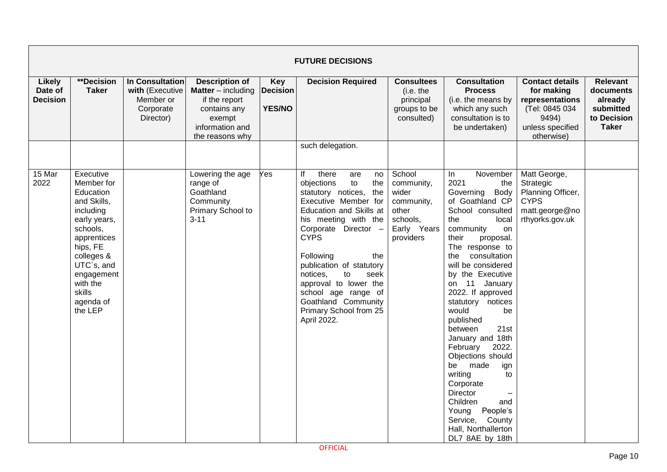|                                             | <b>FUTURE DECISIONS</b>                                                                                                                                                                                         |                                                                           |                                                                                                                                     |                                                |                                                                                                                                                                                                                                                                                                                                                                                              |                                                                                              |                                                                                                                                                                                                                                                                                                                                                                                                                                                                                                                                                                                                 |                                                                                                                      |                                                                                     |  |  |  |
|---------------------------------------------|-----------------------------------------------------------------------------------------------------------------------------------------------------------------------------------------------------------------|---------------------------------------------------------------------------|-------------------------------------------------------------------------------------------------------------------------------------|------------------------------------------------|----------------------------------------------------------------------------------------------------------------------------------------------------------------------------------------------------------------------------------------------------------------------------------------------------------------------------------------------------------------------------------------------|----------------------------------------------------------------------------------------------|-------------------------------------------------------------------------------------------------------------------------------------------------------------------------------------------------------------------------------------------------------------------------------------------------------------------------------------------------------------------------------------------------------------------------------------------------------------------------------------------------------------------------------------------------------------------------------------------------|----------------------------------------------------------------------------------------------------------------------|-------------------------------------------------------------------------------------|--|--|--|
| <b>Likely</b><br>Date of<br><b>Decision</b> | <b>**Decision</b><br><b>Taker</b>                                                                                                                                                                               | In Consultation<br>with (Executive<br>Member or<br>Corporate<br>Director) | <b>Description of</b><br><b>Matter</b> – including<br>if the report<br>contains any<br>exempt<br>information and<br>the reasons why | <b>Key</b><br><b>Decision</b><br><b>YES/NO</b> | <b>Decision Required</b>                                                                                                                                                                                                                                                                                                                                                                     | <b>Consultees</b><br>(i.e. the<br>principal<br>groups to be<br>consulted)                    | <b>Consultation</b><br><b>Process</b><br>(i.e. the means by<br>which any such<br>consultation is to<br>be undertaken)                                                                                                                                                                                                                                                                                                                                                                                                                                                                           | <b>Contact details</b><br>for making<br>representations<br>(Tel: 0845 034<br>9494)<br>unless specified<br>otherwise) | <b>Relevant</b><br>documents<br>already<br>submitted<br>to Decision<br><b>Taker</b> |  |  |  |
|                                             |                                                                                                                                                                                                                 |                                                                           |                                                                                                                                     |                                                | such delegation.                                                                                                                                                                                                                                                                                                                                                                             |                                                                                              |                                                                                                                                                                                                                                                                                                                                                                                                                                                                                                                                                                                                 |                                                                                                                      |                                                                                     |  |  |  |
| 15 Mar<br>2022                              | Executive<br>Member for<br>Education<br>and Skills,<br>including<br>early years,<br>schools,<br>apprentices<br>hips, FE<br>colleges &<br>UTC`s, and<br>engagement<br>with the<br>skills<br>agenda of<br>the LEP |                                                                           | Lowering the age<br>range of<br>Goathland<br>Community<br>Primary School to<br>$3 - 11$                                             | Yes                                            | lf<br>there<br>are<br>no<br>to<br>objections<br>the<br>statutory notices,<br>the<br>Executive Member for<br>Education and Skills at<br>his meeting with the<br>Corporate Director -<br><b>CYPS</b><br>Following<br>the<br>publication of statutory<br>notices.<br>to<br>seek<br>approval to lower the<br>school age range of<br>Goathland Community<br>Primary School from 25<br>April 2022. | School<br>community,<br>wider<br>community,<br>other<br>schools,<br>Early Years<br>providers | November<br>$\ln$<br>2021<br>the<br>Governing Body<br>of Goathland CP<br>School consulted<br>the<br>local<br>community<br>on<br>proposal.<br>their<br>The response to<br>consultation<br>the<br>will be considered<br>by the Executive<br>11 January<br>on<br>2022. If approved<br>statutory notices<br>would<br>be<br>published<br>between<br>21st<br>January and 18th<br>2022.<br>February<br>Objections should<br>be<br>made<br>ign<br>writing<br>to<br>Corporate<br><b>Director</b><br>Children<br>and<br>People's<br>Young<br>Service,<br>County<br>Hall, Northallerton<br>DL7 8AE by 18th | Matt George,<br>Strategic<br>Planning Officer,<br><b>CYPS</b><br>matt.george@no<br>rthyorks.gov.uk                   |                                                                                     |  |  |  |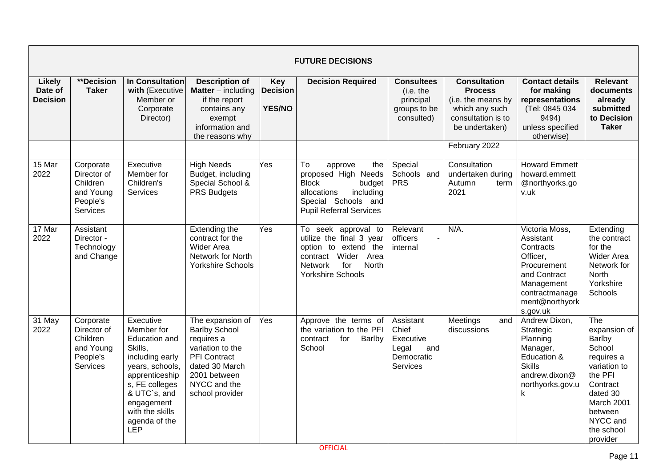|                                             |                                                                           |                                                                                                                                                                                                        |                                                                                                                                                                        |                                         | <b>FUTURE DECISIONS</b>                                                                                                                                                        |                                                                                  |                                                                                                                       |                                                                                                                                                   |                                                                                                                                                                         |
|---------------------------------------------|---------------------------------------------------------------------------|--------------------------------------------------------------------------------------------------------------------------------------------------------------------------------------------------------|------------------------------------------------------------------------------------------------------------------------------------------------------------------------|-----------------------------------------|--------------------------------------------------------------------------------------------------------------------------------------------------------------------------------|----------------------------------------------------------------------------------|-----------------------------------------------------------------------------------------------------------------------|---------------------------------------------------------------------------------------------------------------------------------------------------|-------------------------------------------------------------------------------------------------------------------------------------------------------------------------|
| <b>Likely</b><br>Date of<br><b>Decision</b> | **Decision<br><b>Taker</b>                                                | <b>In Consultation</b><br>with (Executive<br>Member or<br>Corporate<br>Director)                                                                                                                       | <b>Description of</b><br><b>Matter</b> – including<br>if the report<br>contains any<br>exempt<br>information and<br>the reasons why                                    | Key<br><b>Decision</b><br><b>YES/NO</b> | <b>Decision Required</b>                                                                                                                                                       | <b>Consultees</b><br>(i.e. the<br>principal<br>groups to be<br>consulted)        | <b>Consultation</b><br><b>Process</b><br>(i.e. the means by<br>which any such<br>consultation is to<br>be undertaken) | <b>Contact details</b><br>for making<br>representations<br>(Tel: 0845 034<br>9494)<br>unless specified<br>otherwise)                              | <b>Relevant</b><br>documents<br>already<br>submitted<br>to Decision<br><b>Taker</b>                                                                                     |
|                                             |                                                                           |                                                                                                                                                                                                        |                                                                                                                                                                        |                                         |                                                                                                                                                                                |                                                                                  | February 2022                                                                                                         |                                                                                                                                                   |                                                                                                                                                                         |
| 15 Mar<br>2022                              | Corporate<br>Director of<br>Children<br>and Young<br>People's<br>Services | Executive<br>Member for<br>Children's<br><b>Services</b>                                                                                                                                               | <b>High Needs</b><br>Budget, including<br>Special School &<br><b>PRS Budgets</b>                                                                                       | Yes                                     | $\overline{\text{To}}$<br>the<br>approve<br>proposed High Needs<br><b>Block</b><br>budget<br>allocations<br>including<br>Special Schools and<br><b>Pupil Referral Services</b> | Special<br>Schools and<br><b>PRS</b>                                             | Consultation<br>undertaken during<br>Autumn<br>term<br>2021                                                           | <b>Howard Emmett</b><br>howard.emmett<br>@northyorks.go<br>v.uk                                                                                   |                                                                                                                                                                         |
| 17 Mar<br>2022                              | Assistant<br>Director -<br>Technology<br>and Change                       |                                                                                                                                                                                                        | Extending the<br>contract for the<br>Wider Area<br>Network for North<br><b>Yorkshire Schools</b>                                                                       | Yes                                     | To seek approval to<br>utilize the final 3 year<br>option to extend the<br>contract Wider<br>Area<br>for<br>North<br><b>Network</b><br><b>Yorkshire Schools</b>                | Relevant<br>officers<br>internal                                                 | $N/A$ .                                                                                                               | Victoria Moss,<br>Assistant<br>Contracts<br>Officer,<br>Procurement<br>and Contract<br>Management<br>contractmanage<br>ment@northyork<br>s.gov.uk | Extending<br>the contract<br>for the<br><b>Wider Area</b><br>Network for<br>North<br>Yorkshire<br>Schools                                                               |
| 31 May<br>2022                              | Corporate<br>Director of<br>Children<br>and Young<br>People's<br>Services | Executive<br>Member for<br>Education and<br>Skills,<br>including early<br>years, schools,<br>apprenticeship<br>s, FE colleges<br>& UTC`s, and<br>engagement<br>with the skills<br>agenda of the<br>LEP | The expansion of<br><b>Barlby School</b><br>requires a<br>variation to the<br><b>PFI</b> Contract<br>dated 30 March<br>2001 between<br>NYCC and the<br>school provider | Yes                                     | Approve the terms of<br>the variation to the PFI<br>for<br>contract<br>Barlby<br>School                                                                                        | Assistant<br>Chief<br>Executive<br>Legal<br>and<br>Democratic<br><b>Services</b> | Meetings<br>and<br>discussions                                                                                        | Andrew Dixon,<br>Strategic<br>Planning<br>Manager,<br>Education &<br><b>Skills</b><br>andrew.dixon@<br>northyorks.gov.u<br>k                      | The<br>expansion of<br>Barlby<br>School<br>requires a<br>variation to<br>the PFI<br>Contract<br>dated 30<br>March 2001<br>between<br>NYCC and<br>the school<br>provider |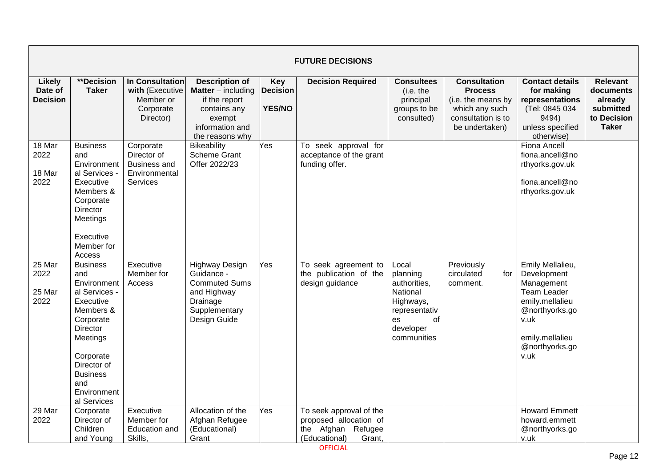|                                      |                                                                                                                                                                                                           |                                                                                     |                                                                                                                                       |                                                | <b>FUTURE DECISIONS</b>                                                                               |                                                                                                                     |                                                                                                                       |                                                                                                                                                               |                                                                                     |
|--------------------------------------|-----------------------------------------------------------------------------------------------------------------------------------------------------------------------------------------------------------|-------------------------------------------------------------------------------------|---------------------------------------------------------------------------------------------------------------------------------------|------------------------------------------------|-------------------------------------------------------------------------------------------------------|---------------------------------------------------------------------------------------------------------------------|-----------------------------------------------------------------------------------------------------------------------|---------------------------------------------------------------------------------------------------------------------------------------------------------------|-------------------------------------------------------------------------------------|
| Likely<br>Date of<br><b>Decision</b> | **Decision<br><b>Taker</b>                                                                                                                                                                                | In Consultation<br>with (Executive<br>Member or<br>Corporate<br>Director)           | <b>Description of</b><br><b>Matter</b> $-$ including<br>if the report<br>contains any<br>exempt<br>information and<br>the reasons why | <b>Key</b><br><b>Decision</b><br><b>YES/NO</b> | <b>Decision Required</b>                                                                              | <b>Consultees</b><br>(i.e. the<br>principal<br>groups to be<br>consulted)                                           | <b>Consultation</b><br><b>Process</b><br>(i.e. the means by<br>which any such<br>consultation is to<br>be undertaken) | <b>Contact details</b><br>for making<br>representations<br>(Tel: 0845 034<br>9494)<br>unless specified<br>otherwise)                                          | <b>Relevant</b><br>documents<br>already<br>submitted<br>to Decision<br><b>Taker</b> |
| 18 Mar<br>2022<br>18 Mar<br>2022     | <b>Business</b><br>and<br>Environment<br>al Services -<br>Executive<br>Members &<br>Corporate<br>Director<br>Meetings<br>Executive<br>Member for<br>Access                                                | Corporate<br>Director of<br><b>Business and</b><br>Environmental<br><b>Services</b> | <b>Bikeability</b><br><b>Scheme Grant</b><br>Offer 2022/23                                                                            | Yes                                            | To seek approval for<br>acceptance of the grant<br>funding offer.                                     |                                                                                                                     |                                                                                                                       | <b>Fiona Ancell</b><br>fiona.ancell@no<br>rthyorks.gov.uk<br>fiona.ancell@no<br>rthyorks.gov.uk                                                               |                                                                                     |
| 25 Mar<br>2022<br>25 Mar<br>2022     | <b>Business</b><br>and<br>Environment<br>al Services -<br>Executive<br>Members &<br>Corporate<br>Director<br>Meetings<br>Corporate<br>Director of<br><b>Business</b><br>and<br>Environment<br>al Services | Executive<br>Member for<br>Access                                                   | <b>Highway Design</b><br>Guidance -<br><b>Commuted Sums</b><br>and Highway<br>Drainage<br>Supplementary<br>Design Guide               | Yes                                            | To seek agreement to<br>the publication of the<br>design guidance                                     | Local<br>planning<br>authorities,<br>National<br>Highways,<br>representativ<br>of<br>es<br>developer<br>communities | Previously<br>circulated<br>for<br>comment.                                                                           | Emily Mellalieu,<br>Development<br>Management<br><b>Team Leader</b><br>emily.mellalieu<br>@northyorks.go<br>v.uk<br>emily.mellalieu<br>@northyorks.go<br>v.uk |                                                                                     |
| 29 Mar<br>2022                       | Corporate<br>Director of<br>Children<br>and Young                                                                                                                                                         | Executive<br>Member for<br>Education and<br>Skills,                                 | Allocation of the<br>Afghan Refugee<br>(Educational)<br>Grant                                                                         | $\overline{\mathsf{Yes}}$                      | To seek approval of the<br>proposed allocation of<br>the Afghan<br>Refugee<br>(Educational)<br>Grant, |                                                                                                                     |                                                                                                                       | <b>Howard Emmett</b><br>howard.emmett<br>@northyorks.go<br>v.uk                                                                                               |                                                                                     |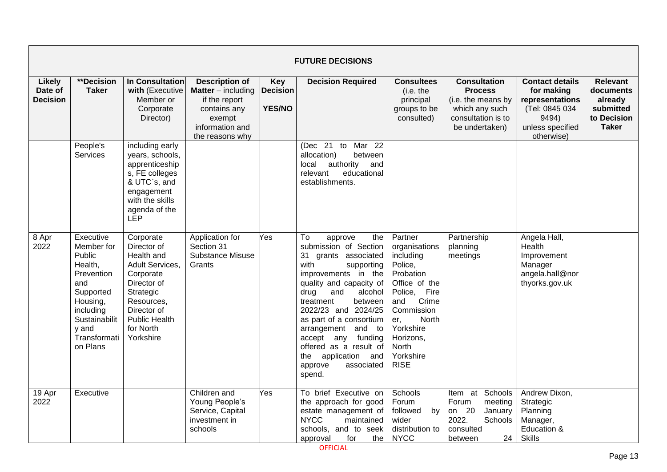|                                             | <b>FUTURE DECISIONS</b>                                                                                                                                              |                                                                                                                                                                                   |                                                                                                                                       |                                                |                                                                                                                                                                                                                                                                                                                                                                                                  |                                                                                                                                                                                                                |                                                                                                                       |                                                                                                                      |                                                                                     |  |  |  |
|---------------------------------------------|----------------------------------------------------------------------------------------------------------------------------------------------------------------------|-----------------------------------------------------------------------------------------------------------------------------------------------------------------------------------|---------------------------------------------------------------------------------------------------------------------------------------|------------------------------------------------|--------------------------------------------------------------------------------------------------------------------------------------------------------------------------------------------------------------------------------------------------------------------------------------------------------------------------------------------------------------------------------------------------|----------------------------------------------------------------------------------------------------------------------------------------------------------------------------------------------------------------|-----------------------------------------------------------------------------------------------------------------------|----------------------------------------------------------------------------------------------------------------------|-------------------------------------------------------------------------------------|--|--|--|
| <b>Likely</b><br>Date of<br><b>Decision</b> | **Decision<br><b>Taker</b>                                                                                                                                           | In Consultation<br>with (Executive<br>Member or<br>Corporate<br>Director)                                                                                                         | <b>Description of</b><br><b>Matter</b> $-$ including<br>if the report<br>contains any<br>exempt<br>information and<br>the reasons why | <b>Key</b><br><b>Decision</b><br><b>YES/NO</b> | <b>Decision Required</b>                                                                                                                                                                                                                                                                                                                                                                         | <b>Consultees</b><br>(i.e. the<br>principal<br>groups to be<br>consulted)                                                                                                                                      | <b>Consultation</b><br><b>Process</b><br>(i.e. the means by<br>which any such<br>consultation is to<br>be undertaken) | <b>Contact details</b><br>for making<br>representations<br>(Tel: 0845 034<br>9494)<br>unless specified<br>otherwise) | <b>Relevant</b><br>documents<br>already<br>submitted<br>to Decision<br><b>Taker</b> |  |  |  |
|                                             | People's<br>Services                                                                                                                                                 | including early<br>years, schools,<br>apprenticeship<br>s, FE colleges<br>& UTC`s, and<br>engagement<br>with the skills<br>agenda of the<br><b>LEP</b>                            |                                                                                                                                       |                                                | (Dec 21)<br>Mar <sub>22</sub><br>to<br>allocation)<br>between<br>authority<br>local<br>and<br>educational<br>relevant<br>establishments.                                                                                                                                                                                                                                                         |                                                                                                                                                                                                                |                                                                                                                       |                                                                                                                      |                                                                                     |  |  |  |
| 8 Apr<br>2022                               | Executive<br>Member for<br><b>Public</b><br>Health,<br>Prevention<br>and<br>Supported<br>Housing,<br>including<br>Sustainabilit<br>y and<br>Transformati<br>on Plans | Corporate<br>Director of<br>Health and<br>Adult Services,<br>Corporate<br>Director of<br>Strategic<br>Resources,<br>Director of<br><b>Public Health</b><br>for North<br>Yorkshire | Application for<br>Section 31<br><b>Substance Misuse</b><br>Grants                                                                    | Yes                                            | To<br>approve<br>the<br>submission of Section<br>31<br>grants associated<br>with<br>supporting<br>improvements in the<br>quality and capacity of<br>and<br>alcohol<br>drug<br>treatment<br>between<br>2022/23 and 2024/25<br>as part of a consortium<br>arrangement<br>and to<br>funding<br>accept<br>any<br>offered as a result of<br>the<br>application and<br>approve<br>associated<br>spend. | Partner<br>organisations<br>including<br>Police,<br>Probation<br>Office of the<br>Fire<br>Police,<br>Crime<br>and<br>Commission<br>North<br>er,<br>Yorkshire<br>Horizons,<br>North<br>Yorkshire<br><b>RISE</b> | Partnership<br>planning<br>meetings                                                                                   | Angela Hall,<br>Health<br>Improvement<br>Manager<br>angela.hall@nor<br>thyorks.gov.uk                                |                                                                                     |  |  |  |
| 19 Apr<br>2022                              | Executive                                                                                                                                                            |                                                                                                                                                                                   | Children and<br>Young People's<br>Service, Capital<br>investment in<br>schools                                                        | Yes                                            | To brief Executive on<br>the approach for good<br>estate management of<br><b>NYCC</b><br>maintained<br>schools, and to seek<br>the<br>for<br>approval                                                                                                                                                                                                                                            | Schools<br>Forum<br>followed<br>by<br>wider<br>distribution to<br><b>NYCC</b>                                                                                                                                  | Schools<br>Item at<br>Forum<br>meeting<br>on 20<br>January<br>2022.<br>Schools<br>consulted<br>24<br>between          | Andrew Dixon,<br>Strategic<br>Planning<br>Manager,<br>Education &<br><b>Skills</b>                                   |                                                                                     |  |  |  |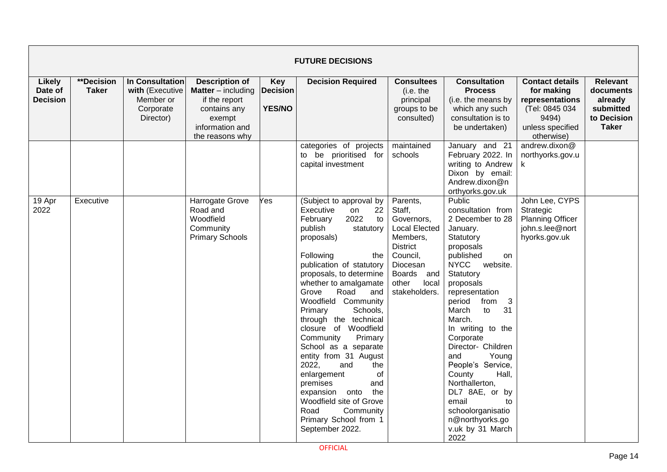|                                             | <b>FUTURE DECISIONS</b>    |                                                                           |                                                                                                                                       |                                                |                                                                                                                                                                                                                                                                                                                                                                                                                                                                                                                                                                                                          |                                                                                                                                                                            |                                                                                                                                                                                                                                                                                                                                                                                                                                                                              |                                                                                                                      |                                                                                     |  |  |  |  |
|---------------------------------------------|----------------------------|---------------------------------------------------------------------------|---------------------------------------------------------------------------------------------------------------------------------------|------------------------------------------------|----------------------------------------------------------------------------------------------------------------------------------------------------------------------------------------------------------------------------------------------------------------------------------------------------------------------------------------------------------------------------------------------------------------------------------------------------------------------------------------------------------------------------------------------------------------------------------------------------------|----------------------------------------------------------------------------------------------------------------------------------------------------------------------------|------------------------------------------------------------------------------------------------------------------------------------------------------------------------------------------------------------------------------------------------------------------------------------------------------------------------------------------------------------------------------------------------------------------------------------------------------------------------------|----------------------------------------------------------------------------------------------------------------------|-------------------------------------------------------------------------------------|--|--|--|--|
| <b>Likely</b><br>Date of<br><b>Decision</b> | **Decision<br><b>Taker</b> | In Consultation<br>with (Executive<br>Member or<br>Corporate<br>Director) | <b>Description of</b><br><b>Matter</b> $-$ including<br>if the report<br>contains any<br>exempt<br>information and<br>the reasons why | <b>Key</b><br><b>Decision</b><br><b>YES/NO</b> | <b>Decision Required</b>                                                                                                                                                                                                                                                                                                                                                                                                                                                                                                                                                                                 | <b>Consultees</b><br>(i.e. the<br>principal<br>groups to be<br>consulted)                                                                                                  | <b>Consultation</b><br><b>Process</b><br>(i.e. the means by<br>which any such<br>consultation is to<br>be undertaken)                                                                                                                                                                                                                                                                                                                                                        | <b>Contact details</b><br>for making<br>representations<br>(Tel: 0845 034<br>9494)<br>unless specified<br>otherwise) | <b>Relevant</b><br>documents<br>already<br>submitted<br>to Decision<br><b>Taker</b> |  |  |  |  |
|                                             |                            |                                                                           |                                                                                                                                       |                                                | categories of projects<br>to be prioritised for<br>capital investment                                                                                                                                                                                                                                                                                                                                                                                                                                                                                                                                    | maintained<br>schools                                                                                                                                                      | January and 21<br>February 2022. In<br>writing to Andrew<br>Dixon by email:<br>Andrew.dixon@n<br>orthyorks.gov.uk                                                                                                                                                                                                                                                                                                                                                            | andrew.dixon@<br>northyorks.gov.u<br>k.                                                                              |                                                                                     |  |  |  |  |
| 19 Apr<br>2022                              | Executive                  |                                                                           | <b>Harrogate Grove</b><br>Road and<br>Woodfield<br>Community<br><b>Primary Schools</b>                                                | Yes                                            | (Subject to approval by<br>Executive<br>22<br>on<br>2022<br>February<br>to<br>publish<br>statutory<br>proposals)<br>Following<br>the<br>publication of statutory<br>proposals, to determine<br>whether to amalgamate<br>Road<br>Grove<br>and<br>Woodfield Community<br>Schools,<br>Primary<br>through the technical<br>closure of Woodfield<br>Community<br>Primary<br>School as a separate<br>entity from 31 August<br>2022,<br>and<br>the<br>enlargement<br>0f<br>premises<br>and<br>expansion onto<br>the<br>Woodfield site of Grove<br>Road<br>Community<br>Primary School from 1<br>September 2022. | Parents,<br>Staff,<br>Governors,<br><b>Local Elected</b><br>Members,<br><b>District</b><br>Council,<br>Diocesan<br><b>Boards</b><br>and<br>other<br>local<br>stakeholders. | Public<br>consultation from<br>2 December to 28<br>January.<br>Statutory<br>proposals<br>published<br>on<br><b>NYCC</b><br>website.<br>Statutory<br>proposals<br>representation<br>3<br>period<br>from<br>March<br>to<br>31<br>March.<br>In writing to the<br>Corporate<br>Director- Children<br>and<br>Young<br>People's Service,<br>Hall,<br>County<br>Northallerton,<br>DL7 8AE, or by<br>email<br>to<br>schoolorganisatio<br>n@northyorks.go<br>v.uk by 31 March<br>2022 | John Lee, CYPS<br>Strategic<br><b>Planning Officer</b><br>john.s.lee@nort<br>hyorks.gov.uk                           |                                                                                     |  |  |  |  |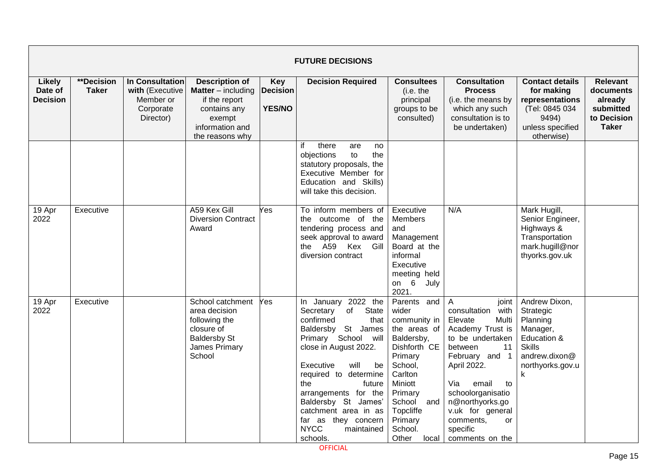|                                             | <b>FUTURE DECISIONS</b>    |                                                                           |                                                                                                                                       |                                                |                                                                                                                                                                                                                                                                                                                                                     |                                                                                                                                                                                                                 |                                                                                                                                                                                                                                                                                                   |                                                                                                                              |                                                                                     |  |  |  |
|---------------------------------------------|----------------------------|---------------------------------------------------------------------------|---------------------------------------------------------------------------------------------------------------------------------------|------------------------------------------------|-----------------------------------------------------------------------------------------------------------------------------------------------------------------------------------------------------------------------------------------------------------------------------------------------------------------------------------------------------|-----------------------------------------------------------------------------------------------------------------------------------------------------------------------------------------------------------------|---------------------------------------------------------------------------------------------------------------------------------------------------------------------------------------------------------------------------------------------------------------------------------------------------|------------------------------------------------------------------------------------------------------------------------------|-------------------------------------------------------------------------------------|--|--|--|
| <b>Likely</b><br>Date of<br><b>Decision</b> | **Decision<br><b>Taker</b> | In Consultation<br>with (Executive<br>Member or<br>Corporate<br>Director) | <b>Description of</b><br><b>Matter</b> $-$ including<br>if the report<br>contains any<br>exempt<br>information and<br>the reasons why | <b>Key</b><br><b>Decision</b><br><b>YES/NO</b> | <b>Decision Required</b>                                                                                                                                                                                                                                                                                                                            | <b>Consultees</b><br>(i.e. the<br>principal<br>groups to be<br>consulted)                                                                                                                                       | <b>Consultation</b><br><b>Process</b><br>(i.e. the means by<br>which any such<br>consultation is to<br>be undertaken)                                                                                                                                                                             | <b>Contact details</b><br>for making<br>representations<br>(Tel: 0845 034<br>9494)<br>unless specified<br>otherwise)         | <b>Relevant</b><br>documents<br>already<br>submitted<br>to Decision<br><b>Taker</b> |  |  |  |
|                                             |                            |                                                                           |                                                                                                                                       |                                                | if<br>there<br>are<br>no<br>the<br>objections<br>to<br>statutory proposals, the<br>Executive Member for<br>Education and Skills)<br>will take this decision.                                                                                                                                                                                        |                                                                                                                                                                                                                 |                                                                                                                                                                                                                                                                                                   |                                                                                                                              |                                                                                     |  |  |  |
| 19 Apr<br>2022                              | Executive                  |                                                                           | A59 Kex Gill<br><b>Diversion Contract</b><br>Award                                                                                    | Yes                                            | To inform members of<br>the outcome of the<br>tendering process and<br>seek approval to award<br>the A59 Kex<br>Gill<br>diversion contract                                                                                                                                                                                                          | Executive<br>Members<br>and<br>Management<br>Board at the<br>informal<br>Executive<br>meeting held<br>on $6$<br>July<br>2021.                                                                                   | N/A                                                                                                                                                                                                                                                                                               | Mark Hugill,<br>Senior Engineer,<br>Highways &<br>Transportation<br>mark.hugill@nor<br>thyorks.gov.uk                        |                                                                                     |  |  |  |
| 19 Apr<br>2022                              | Executive                  |                                                                           | School catchment<br>area decision<br>following the<br>closure of<br><b>Baldersby St</b><br>James Primary<br>School                    | Yes                                            | In January 2022 the<br>of State<br>Secretary<br>confirmed<br>that<br>Baldersby St James<br>Primary School will<br>close in August 2022.<br>Executive<br>will<br>be<br>required to determine<br>the<br>future<br>arrangements for the<br>Baldersby St James'<br>catchment area in as<br>far as they concern<br><b>NYCC</b><br>maintained<br>schools. | Parents and<br>wider<br>community in<br>the areas of<br>Baldersby,<br>Dishforth CE<br>Primary<br>School,<br>Carlton<br>Miniott<br>Primary<br>School<br>and<br>Topcliffe<br>Primary<br>School.<br>Other<br>local | $\overline{A}$<br>joint<br>consultation<br>with<br>Elevate<br>Multi<br>Academy Trust is<br>to be undertaken<br>between<br>11<br>February and 1<br>April 2022.<br>Via<br>email<br>to<br>schoolorganisatio<br>n@northyorks.go<br>v.uk for general<br>comments,<br>or<br>specific<br>comments on the | Andrew Dixon,<br>Strategic<br>Planning<br>Manager,<br>Education &<br><b>Skills</b><br>andrew.dixon@<br>northyorks.gov.u<br>k |                                                                                     |  |  |  |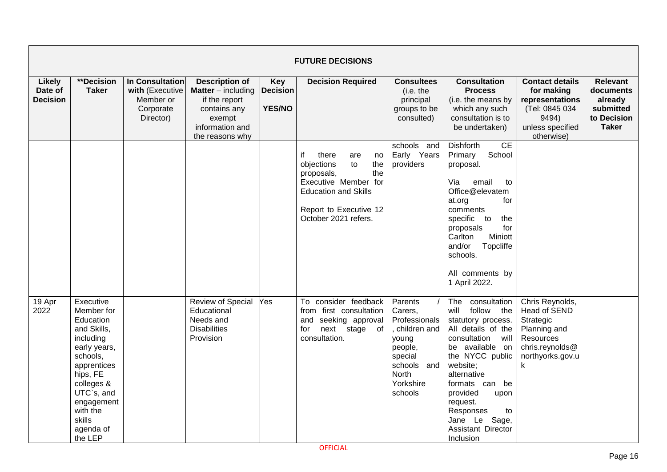| <b>FUTURE DECISIONS</b>              |                                                                                                                                                                                                                 |                                                                           |                                                                                                                                     |                                                |                                                                                                                                                                                   |                                                                                                                                    |                                                                                                                                                                                                                                                                                                            |                                                                                                                       |                                                                                     |  |  |
|--------------------------------------|-----------------------------------------------------------------------------------------------------------------------------------------------------------------------------------------------------------------|---------------------------------------------------------------------------|-------------------------------------------------------------------------------------------------------------------------------------|------------------------------------------------|-----------------------------------------------------------------------------------------------------------------------------------------------------------------------------------|------------------------------------------------------------------------------------------------------------------------------------|------------------------------------------------------------------------------------------------------------------------------------------------------------------------------------------------------------------------------------------------------------------------------------------------------------|-----------------------------------------------------------------------------------------------------------------------|-------------------------------------------------------------------------------------|--|--|
| Likely<br>Date of<br><b>Decision</b> | **Decision<br><b>Taker</b>                                                                                                                                                                                      | In Consultation<br>with (Executive<br>Member or<br>Corporate<br>Director) | <b>Description of</b><br><b>Matter</b> – including<br>if the report<br>contains any<br>exempt<br>information and<br>the reasons why | <b>Key</b><br><b>Decision</b><br><b>YES/NO</b> | <b>Decision Required</b>                                                                                                                                                          | <b>Consultees</b><br>(i.e. the<br>principal<br>groups to be<br>consulted)                                                          | <b>Consultation</b><br><b>Process</b><br>(i.e. the means by<br>which any such<br>consultation is to<br>be undertaken)                                                                                                                                                                                      | <b>Contact details</b><br>for making<br>representations<br>(Tel: 0845 034<br>9494)<br>unless specified<br>otherwise)  | <b>Relevant</b><br>documents<br>already<br>submitted<br>to Decision<br><b>Taker</b> |  |  |
|                                      |                                                                                                                                                                                                                 |                                                                           |                                                                                                                                     |                                                | if<br>there<br>are<br>no<br>objections<br>to<br>the<br>the<br>proposals,<br>Executive Member for<br><b>Education and Skills</b><br>Report to Executive 12<br>October 2021 refers. | schools and<br>Early Years<br>providers                                                                                            | CE<br><b>Dishforth</b><br>School<br>Primary<br>proposal.<br>Via<br>email<br>to<br>Office@elevatem<br>at.org<br>for<br>comments<br>specific to<br>the<br>for<br>proposals<br>Carlton<br>Miniott<br>and/or<br>Topcliffe<br>schools.<br>All comments by<br>1 April 2022.                                      |                                                                                                                       |                                                                                     |  |  |
| 19 Apr<br>2022                       | Executive<br>Member for<br>Education<br>and Skills,<br>including<br>early years,<br>schools,<br>apprentices<br>hips, FE<br>colleges &<br>UTC`s, and<br>engagement<br>with the<br>skills<br>agenda of<br>the LEP |                                                                           | Review of Special<br>Educational<br>Needs and<br><b>Disabilities</b><br>Provision                                                   | Yes                                            | To consider feedback<br>from first consultation<br>and seeking approval<br>next stage of<br>for<br>consultation.                                                                  | Parents<br>Carers,<br>Professionals<br>children and<br>young<br>people,<br>special<br>schools and<br>North<br>Yorkshire<br>schools | The<br>consultation<br>follow the<br>will<br>statutory process.<br>All details of the<br>consultation<br>will<br>be available on<br>the NYCC public<br>website;<br>alternative<br>formats can be<br>provided<br>upon<br>request.<br>Responses<br>to<br>Sage,<br>Jane Le<br>Assistant Director<br>Inclusion | Chris Reynolds,<br>Head of SEND<br>Strategic<br>Planning and<br>Resources<br>chris.reynolds@<br>northyorks.gov.u<br>k |                                                                                     |  |  |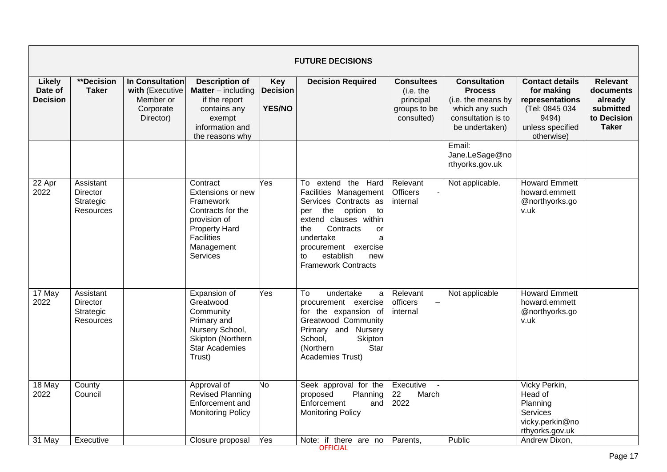| <b>FUTURE DECISIONS</b>              |                                                        |                                                                                  |                                                                                                                                                               |                                                |                                                                                                                                                                                                                                                                |                                                                           |                                                                                                                       |                                                                                                                      |                                                                                     |  |  |  |
|--------------------------------------|--------------------------------------------------------|----------------------------------------------------------------------------------|---------------------------------------------------------------------------------------------------------------------------------------------------------------|------------------------------------------------|----------------------------------------------------------------------------------------------------------------------------------------------------------------------------------------------------------------------------------------------------------------|---------------------------------------------------------------------------|-----------------------------------------------------------------------------------------------------------------------|----------------------------------------------------------------------------------------------------------------------|-------------------------------------------------------------------------------------|--|--|--|
| Likely<br>Date of<br><b>Decision</b> | **Decision<br><b>Taker</b>                             | <b>In Consultation</b><br>with (Executive<br>Member or<br>Corporate<br>Director) | <b>Description of</b><br><b>Matter</b> $-$ including<br>if the report<br>contains any<br>exempt<br>information and<br>the reasons why                         | <b>Key</b><br><b>Decision</b><br><b>YES/NO</b> | <b>Decision Required</b>                                                                                                                                                                                                                                       | <b>Consultees</b><br>(i.e. the<br>principal<br>groups to be<br>consulted) | <b>Consultation</b><br><b>Process</b><br>(i.e. the means by<br>which any such<br>consultation is to<br>be undertaken) | <b>Contact details</b><br>for making<br>representations<br>(Tel: 0845 034<br>9494)<br>unless specified<br>otherwise) | <b>Relevant</b><br>documents<br>already<br>submitted<br>to Decision<br><b>Taker</b> |  |  |  |
|                                      |                                                        |                                                                                  |                                                                                                                                                               |                                                |                                                                                                                                                                                                                                                                |                                                                           | Email:<br>Jane.LeSage@no<br>rthyorks.gov.uk                                                                           |                                                                                                                      |                                                                                     |  |  |  |
| 22 Apr<br>2022                       | Assistant<br><b>Director</b><br>Strategic<br>Resources |                                                                                  | Contract<br>Extensions or new<br>Framework<br>Contracts for the<br>provision of<br><b>Property Hard</b><br><b>Facilities</b><br>Management<br><b>Services</b> | Yes                                            | To extend the Hard<br>Facilities Management<br>Services Contracts as<br>the<br>option<br>to<br>per<br>extend clauses within<br>Contracts<br>the<br><b>or</b><br>undertake<br>a<br>procurement exercise<br>establish<br>new<br>to<br><b>Framework Contracts</b> | Relevant<br><b>Officers</b><br>internal                                   | Not applicable.                                                                                                       | <b>Howard Emmett</b><br>howard.emmett<br>@northyorks.go<br>v.uk                                                      |                                                                                     |  |  |  |
| 17 May<br>2022                       | Assistant<br><b>Director</b><br>Strategic<br>Resources |                                                                                  | Expansion of<br>Greatwood<br>Community<br>Primary and<br>Nursery School,<br>Skipton (Northern<br><b>Star Academies</b><br>Trust)                              | Yes                                            | To<br>undertake<br>a<br>procurement exercise<br>for the expansion of<br>Greatwood Community<br>Primary and Nursery<br>School,<br>Skipton<br>(Northern<br>Star<br>Academies Trust)                                                                              | Relevant<br>officers<br>internal                                          | Not applicable                                                                                                        | <b>Howard Emmett</b><br>howard.emmett<br>@northyorks.go<br>v.uk                                                      |                                                                                     |  |  |  |
| 18 May<br>2022<br>31 May             | County<br>Council<br>Executive                         |                                                                                  | Approval of<br><b>Revised Planning</b><br>Enforcement and<br><b>Monitoring Policy</b><br>Closure proposal                                                     | No.<br>Yes                                     | Seek approval for the<br>proposed<br>Planning<br>Enforcement<br>and<br><b>Monitoring Policy</b><br>Note: if there are no                                                                                                                                       | Executive<br>22<br>March<br>2022<br>Parents,                              | Public                                                                                                                | Vicky Perkin,<br>Head of<br>Planning<br><b>Services</b><br>vicky.perkin@no<br>rthyorks.gov.uk<br>Andrew Dixon.       |                                                                                     |  |  |  |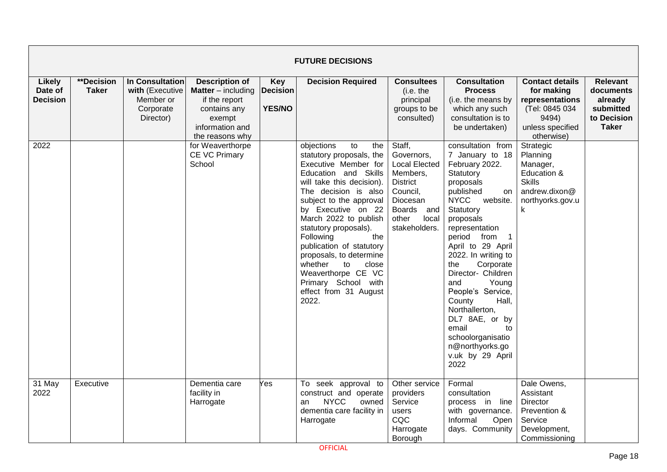| <b>FUTURE DECISIONS</b>                     |                                   |                                                                           |                                                                                                                                     |                                                |                                                                                                                                                                                                                                                                                                                                                                                                                                                 |                                                                                                                                                      |                                                                                                                                                                                                                                                                                                                                                                                                                                                                                  |                                                                                                                      |                                                                                     |  |  |  |
|---------------------------------------------|-----------------------------------|---------------------------------------------------------------------------|-------------------------------------------------------------------------------------------------------------------------------------|------------------------------------------------|-------------------------------------------------------------------------------------------------------------------------------------------------------------------------------------------------------------------------------------------------------------------------------------------------------------------------------------------------------------------------------------------------------------------------------------------------|------------------------------------------------------------------------------------------------------------------------------------------------------|----------------------------------------------------------------------------------------------------------------------------------------------------------------------------------------------------------------------------------------------------------------------------------------------------------------------------------------------------------------------------------------------------------------------------------------------------------------------------------|----------------------------------------------------------------------------------------------------------------------|-------------------------------------------------------------------------------------|--|--|--|
| <b>Likely</b><br>Date of<br><b>Decision</b> | <b>**Decision</b><br><b>Taker</b> | In Consultation<br>with (Executive<br>Member or<br>Corporate<br>Director) | <b>Description of</b><br><b>Matter</b> – including<br>if the report<br>contains any<br>exempt<br>information and<br>the reasons why | <b>Key</b><br><b>Decision</b><br><b>YES/NO</b> | <b>Decision Required</b>                                                                                                                                                                                                                                                                                                                                                                                                                        | <b>Consultees</b><br>(i.e. the<br>principal<br>groups to be<br>consulted)                                                                            | <b>Consultation</b><br><b>Process</b><br>(i.e. the means by<br>which any such<br>consultation is to<br>be undertaken)                                                                                                                                                                                                                                                                                                                                                            | <b>Contact details</b><br>for making<br>representations<br>(Tel: 0845 034<br>9494)<br>unless specified<br>otherwise) | <b>Relevant</b><br>documents<br>already<br>submitted<br>to Decision<br><b>Taker</b> |  |  |  |
| 2022                                        |                                   |                                                                           | for Weaverthorpe<br><b>CE VC Primary</b><br>School                                                                                  |                                                | objections<br>to<br>the<br>statutory proposals, the<br>Executive Member for<br>Education and Skills<br>will take this decision).<br>The decision is also<br>subject to the approval<br>by Executive on 22<br>March 2022 to publish<br>statutory proposals).<br>Following<br>the<br>publication of statutory<br>proposals, to determine<br>whether<br>to<br>close<br>Weaverthorpe CE VC<br>Primary School with<br>effect from 31 August<br>2022. | Staff,<br>Governors,<br><b>Local Elected</b><br>Members,<br><b>District</b><br>Council,<br>Diocesan<br>Boards and<br>other<br>local<br>stakeholders. | consultation from<br>7 January to 18<br>February 2022.<br>Statutory<br>proposals<br>published<br>on<br><b>NYCC</b><br>website.<br>Statutory<br>proposals<br>representation<br>period from<br>$\overline{1}$<br>April to 29 April<br>2022. In writing to<br>Corporate<br>the<br>Director- Children<br>Young<br>and<br>People's Service,<br>Hall,<br>County<br>Northallerton,<br>DL7 8AE, or by<br>email<br>to<br>schoolorganisatio<br>n@northyorks.go<br>v.uk by 29 April<br>2022 | Strategic<br>Planning<br>Manager,<br>Education &<br><b>Skills</b><br>andrew.dixon@<br>northyorks.gov.u<br>k.         |                                                                                     |  |  |  |
| 31 May<br>2022                              | Executive                         |                                                                           | Dementia care<br>facility in<br>Harrogate                                                                                           | es                                             | To seek approval to<br>construct and operate<br><b>NYCC</b><br>owned<br>an<br>dementia care facility in<br>Harrogate                                                                                                                                                                                                                                                                                                                            | Other service<br>providers<br>Service<br>users<br>CQC<br>Harrogate<br>Borough                                                                        | Formal<br>consultation<br>process in line<br>with governance.<br>Informal<br>Open<br>days. Community                                                                                                                                                                                                                                                                                                                                                                             | Dale Owens,<br>Assistant<br><b>Director</b><br>Prevention &<br>Service<br>Development,<br>Commissioning              |                                                                                     |  |  |  |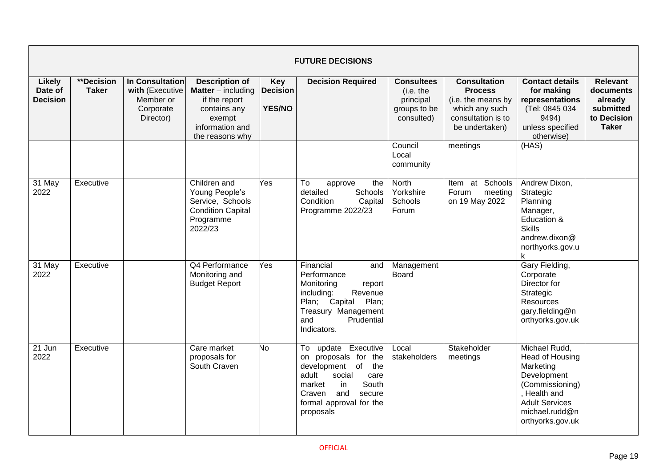| <b>FUTURE DECISIONS</b>                     |                            |                                                                           |                                                                                                                                     |                                         |                                                                                                                                                                                              |                                                                           |                                                                                                                       |                                                                                                                                                                |                                                                                     |  |  |  |
|---------------------------------------------|----------------------------|---------------------------------------------------------------------------|-------------------------------------------------------------------------------------------------------------------------------------|-----------------------------------------|----------------------------------------------------------------------------------------------------------------------------------------------------------------------------------------------|---------------------------------------------------------------------------|-----------------------------------------------------------------------------------------------------------------------|----------------------------------------------------------------------------------------------------------------------------------------------------------------|-------------------------------------------------------------------------------------|--|--|--|
| <b>Likely</b><br>Date of<br><b>Decision</b> | **Decision<br><b>Taker</b> | In Consultation<br>with (Executive<br>Member or<br>Corporate<br>Director) | <b>Description of</b><br><b>Matter</b> – including<br>if the report<br>contains any<br>exempt<br>information and<br>the reasons why | Key<br><b>Decision</b><br><b>YES/NO</b> | <b>Decision Required</b>                                                                                                                                                                     | <b>Consultees</b><br>(i.e. the<br>principal<br>groups to be<br>consulted) | <b>Consultation</b><br><b>Process</b><br>(i.e. the means by<br>which any such<br>consultation is to<br>be undertaken) | <b>Contact details</b><br>for making<br>representations<br>(Tel: 0845 034<br>9494)<br>unless specified<br>otherwise)                                           | <b>Relevant</b><br>documents<br>already<br>submitted<br>to Decision<br><b>Taker</b> |  |  |  |
|                                             |                            |                                                                           |                                                                                                                                     |                                         |                                                                                                                                                                                              | Council<br>Local<br>community                                             | meetings                                                                                                              | (HAS)                                                                                                                                                          |                                                                                     |  |  |  |
| 31 May<br>2022                              | Executive                  |                                                                           | Children and<br>Young People's<br>Service, Schools<br><b>Condition Capital</b><br>Programme<br>2022/23                              | Yes                                     | To<br>the<br>approve<br>detailed<br>Schools<br>Condition<br>Capital<br>Programme 2022/23                                                                                                     | North<br>Yorkshire<br>Schools<br>Forum                                    | at Schools<br>Item<br>Forum<br>meeting<br>on 19 May 2022                                                              | Andrew Dixon,<br>Strategic<br>Planning<br>Manager,<br>Education &<br><b>Skills</b><br>andrew.dixon@<br>northyorks.gov.u<br>k                                   |                                                                                     |  |  |  |
| 31 May<br>2022                              | Executive                  |                                                                           | Q4 Performance<br>Monitoring and<br><b>Budget Report</b>                                                                            | Yes                                     | Financial<br>and<br>Performance<br>Monitoring<br>report<br>including:<br>Revenue<br>Plan;<br>Plan; Capital<br>Treasury Management<br>Prudential<br>and<br>Indicators.                        | Management<br><b>Board</b>                                                |                                                                                                                       | Gary Fielding,<br>Corporate<br>Director for<br>Strategic<br>Resources<br>gary.fielding@n<br>orthyorks.gov.uk                                                   |                                                                                     |  |  |  |
| 21 Jun<br>2022                              | Executive                  |                                                                           | Care market<br>proposals for<br>South Craven                                                                                        | No                                      | To update Executive<br>on proposals for the<br>development of<br>the<br>adult<br>social<br>care<br>South<br>market<br>in.<br>and<br>Craven<br>secure<br>formal approval for the<br>proposals | Local<br>stakeholders                                                     | Stakeholder<br>meetings                                                                                               | Michael Rudd,<br>Head of Housing<br>Marketing<br>Development<br>(Commissioning)<br>. Health and<br><b>Adult Services</b><br>michael.rudd@n<br>orthyorks.gov.uk |                                                                                     |  |  |  |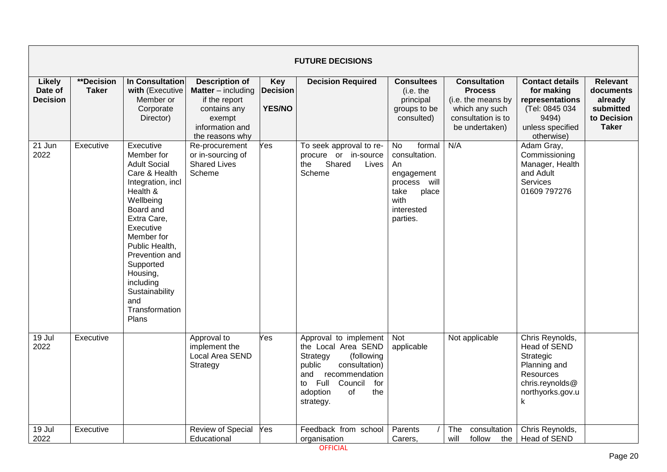|                                      | <b>FUTURE DECISIONS</b>    |                                                                                                                                                                                                                                                                                                    |                                                                                                                                     |                                                |                                                                                                                                                                                                  |                                                                                                                      |                                                                                                                       |                                                                                                                       |                                                                                     |  |  |  |  |
|--------------------------------------|----------------------------|----------------------------------------------------------------------------------------------------------------------------------------------------------------------------------------------------------------------------------------------------------------------------------------------------|-------------------------------------------------------------------------------------------------------------------------------------|------------------------------------------------|--------------------------------------------------------------------------------------------------------------------------------------------------------------------------------------------------|----------------------------------------------------------------------------------------------------------------------|-----------------------------------------------------------------------------------------------------------------------|-----------------------------------------------------------------------------------------------------------------------|-------------------------------------------------------------------------------------|--|--|--|--|
| Likely<br>Date of<br><b>Decision</b> | **Decision<br><b>Taker</b> | In Consultation<br>with (Executive<br>Member or<br>Corporate<br>Director)                                                                                                                                                                                                                          | <b>Description of</b><br><b>Matter</b> – including<br>if the report<br>contains any<br>exempt<br>information and<br>the reasons why | <b>Key</b><br><b>Decision</b><br><b>YES/NO</b> | <b>Decision Required</b>                                                                                                                                                                         | <b>Consultees</b><br>(i.e. the<br>principal<br>groups to be<br>consulted)                                            | <b>Consultation</b><br><b>Process</b><br>(i.e. the means by<br>which any such<br>consultation is to<br>be undertaken) | <b>Contact details</b><br>for making<br>representations<br>(Tel: 0845 034<br>9494)<br>unless specified<br>otherwise)  | <b>Relevant</b><br>documents<br>already<br>submitted<br>to Decision<br><b>Taker</b> |  |  |  |  |
| 21 Jun<br>2022                       | Executive                  | Executive<br>Member for<br><b>Adult Social</b><br>Care & Health<br>Integration, incl<br>Health &<br>Wellbeing<br>Board and<br>Extra Care,<br>Executive<br>Member for<br>Public Health,<br>Prevention and<br>Supported<br>Housing,<br>including<br>Sustainability<br>and<br>Transformation<br>Plans | Re-procurement<br>or in-sourcing of<br><b>Shared Lives</b><br>Scheme                                                                | Yes                                            | To seek approval to re-<br>procure or in-source<br>Shared<br>the<br>Lives<br>Scheme                                                                                                              | No<br>formal<br>consultation.<br>An<br>engagement<br>process will<br>take<br>place<br>with<br>interested<br>parties. | N/A                                                                                                                   | Adam Gray,<br>Commissioning<br>Manager, Health<br>and Adult<br>Services<br>01609 797276                               |                                                                                     |  |  |  |  |
| 19 Jul<br>2022                       | Executive                  |                                                                                                                                                                                                                                                                                                    | Approval to<br>implement the<br>Local Area SEND<br>Strategy                                                                         | Yes                                            | Approval to implement<br>the Local Area SEND<br>Strategy<br>(following<br>public<br>consultation)<br>and<br>recommendation<br>Full<br>Council<br>for<br>to<br>adoption<br>of<br>the<br>strategy. | Not<br>applicable                                                                                                    | Not applicable                                                                                                        | Chris Reynolds,<br>Head of SEND<br>Strategic<br>Planning and<br>Resources<br>chris.reynolds@<br>northyorks.gov.u<br>k |                                                                                     |  |  |  |  |
| 19 Jul<br>2022                       | Executive                  |                                                                                                                                                                                                                                                                                                    | <b>Review of Special</b><br>Educational                                                                                             | Yes                                            | Feedback from school<br>organisation                                                                                                                                                             | Parents<br>Carers,                                                                                                   | consultation<br>The<br>follow<br>will<br>the                                                                          | Chris Reynolds,<br>Head of SEND                                                                                       |                                                                                     |  |  |  |  |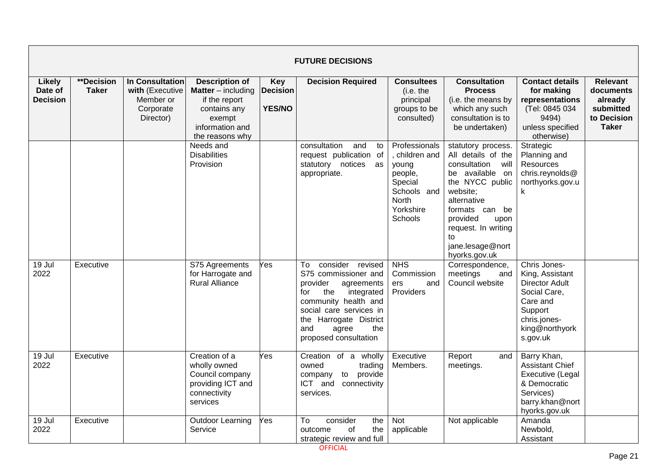| <b>FUTURE DECISIONS</b>                     |                                   |                                                                           |                                                                                                                              |                                                |                                                                                                                                                                                                                                   |                                                                                                                     |                                                                                                                                                                                                                                        |                                                                                                                                               |                                                                                     |  |  |
|---------------------------------------------|-----------------------------------|---------------------------------------------------------------------------|------------------------------------------------------------------------------------------------------------------------------|------------------------------------------------|-----------------------------------------------------------------------------------------------------------------------------------------------------------------------------------------------------------------------------------|---------------------------------------------------------------------------------------------------------------------|----------------------------------------------------------------------------------------------------------------------------------------------------------------------------------------------------------------------------------------|-----------------------------------------------------------------------------------------------------------------------------------------------|-------------------------------------------------------------------------------------|--|--|
| <b>Likely</b><br>Date of<br><b>Decision</b> | <b>**Decision</b><br><b>Taker</b> | In Consultation<br>with (Executive<br>Member or<br>Corporate<br>Director) | <b>Description of</b><br>Matter - including<br>if the report<br>contains any<br>exempt<br>information and<br>the reasons why | <b>Key</b><br><b>Decision</b><br><b>YES/NO</b> | <b>Decision Required</b>                                                                                                                                                                                                          | <b>Consultees</b><br>(i.e. the<br>principal<br>groups to be<br>consulted)                                           | <b>Consultation</b><br><b>Process</b><br>(i.e. the means by<br>which any such<br>consultation is to<br>be undertaken)                                                                                                                  | <b>Contact details</b><br>for making<br>representations<br>(Tel: 0845 034<br>9494)<br>unless specified<br>otherwise)                          | <b>Relevant</b><br>documents<br>already<br>submitted<br>to Decision<br><b>Taker</b> |  |  |
|                                             |                                   |                                                                           | Needs and<br><b>Disabilities</b><br>Provision                                                                                |                                                | consultation<br>and<br>to<br>request publication of<br>statutory notices<br>as<br>appropriate.                                                                                                                                    | Professionals<br>children and<br>young<br>people,<br>Special<br>Schools and<br><b>North</b><br>Yorkshire<br>Schools | statutory process.<br>All details of the<br>consultation will<br>be available on<br>the NYCC public<br>website;<br>alternative<br>formats can be<br>provided<br>upon<br>request. In writing<br>to<br>jane.lesage@nort<br>hyorks.gov.uk | Strategic<br>Planning and<br>Resources<br>chris.reynolds@<br>northyorks.gov.u<br>k                                                            |                                                                                     |  |  |
| 19 Jul<br>2022                              | Executive                         |                                                                           | S75 Agreements<br>for Harrogate and<br><b>Rural Alliance</b>                                                                 | Yes                                            | consider revised<br>To<br>S75 commissioner and<br>provider<br>agreements<br>the<br>integrated<br>for<br>community health and<br>social care services in<br>the Harrogate District<br>and<br>agree<br>the<br>proposed consultation | <b>NHS</b><br>Commission<br>and<br>ers<br>Providers                                                                 | Correspondence,<br>meetings<br>and<br>Council website                                                                                                                                                                                  | Chris Jones-<br>King, Assistant<br><b>Director Adult</b><br>Social Care,<br>Care and<br>Support<br>chris.jones-<br>king@northyork<br>s.gov.uk |                                                                                     |  |  |
| 19 Jul<br>2022                              | Executive                         |                                                                           | Creation of a<br>wholly owned<br>Council company<br>providing ICT and<br>connectivity<br>services                            | Yes                                            | Creation of a wholly<br>owned<br>trading<br>to provide<br>company<br>ICT and<br>connectivity<br>services.                                                                                                                         | Executive<br>Members.                                                                                               | Report<br>and<br>meetings.                                                                                                                                                                                                             | Barry Khan,<br><b>Assistant Chief</b><br>Executive (Legal<br>& Democratic<br>Services)<br>barry.khan@nort<br>hyorks.gov.uk                    |                                                                                     |  |  |
| 19 Jul<br>2022                              | Executive                         |                                                                           | <b>Outdoor Learning</b><br>Service                                                                                           | Yes                                            | consider<br>To<br>the<br>οf<br>the<br>outcome<br>strategic review and full                                                                                                                                                        | Not<br>applicable                                                                                                   | Not applicable                                                                                                                                                                                                                         | Amanda<br>Newbold,<br>Assistant                                                                                                               |                                                                                     |  |  |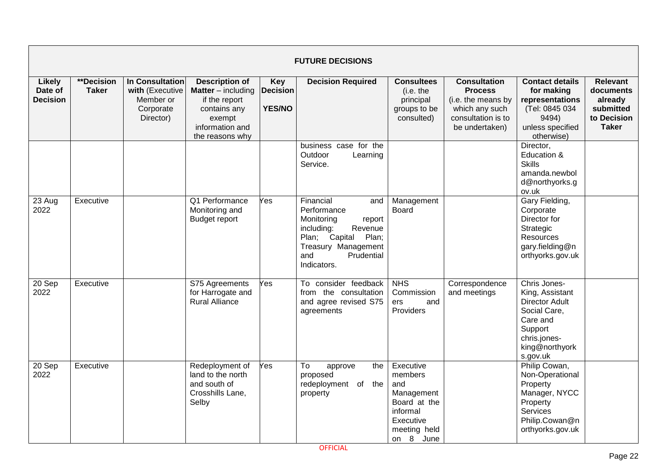|                                      | <b>FUTURE DECISIONS</b>    |                                                                           |                                                                                                                                     |                                                |                                                                                                                                                                       |                                                                                                                 |                                                                                                                       |                                                                                                                                               |                                                                                     |  |  |  |
|--------------------------------------|----------------------------|---------------------------------------------------------------------------|-------------------------------------------------------------------------------------------------------------------------------------|------------------------------------------------|-----------------------------------------------------------------------------------------------------------------------------------------------------------------------|-----------------------------------------------------------------------------------------------------------------|-----------------------------------------------------------------------------------------------------------------------|-----------------------------------------------------------------------------------------------------------------------------------------------|-------------------------------------------------------------------------------------|--|--|--|
| Likely<br>Date of<br><b>Decision</b> | **Decision<br><b>Taker</b> | In Consultation<br>with (Executive<br>Member or<br>Corporate<br>Director) | <b>Description of</b><br><b>Matter</b> – including<br>if the report<br>contains any<br>exempt<br>information and<br>the reasons why | <b>Key</b><br><b>Decision</b><br><b>YES/NO</b> | <b>Decision Required</b>                                                                                                                                              | <b>Consultees</b><br>(i.e. the<br>principal<br>groups to be<br>consulted)                                       | <b>Consultation</b><br><b>Process</b><br>(i.e. the means by<br>which any such<br>consultation is to<br>be undertaken) | <b>Contact details</b><br>for making<br>representations<br>(Tel: 0845 034<br>9494)<br>unless specified<br>otherwise)                          | <b>Relevant</b><br>documents<br>already<br>submitted<br>to Decision<br><b>Taker</b> |  |  |  |
|                                      |                            |                                                                           |                                                                                                                                     |                                                | business case for the<br>Outdoor<br>Learning<br>Service.                                                                                                              |                                                                                                                 |                                                                                                                       | Director,<br>Education &<br><b>Skills</b><br>amanda.newbol<br>d@northyorks.g<br>ov.uk                                                         |                                                                                     |  |  |  |
| 23 Aug<br>2022                       | Executive                  |                                                                           | Q1 Performance<br>Monitoring and<br><b>Budget report</b>                                                                            | Yes                                            | Financial<br>and<br>Performance<br>Monitoring<br>report<br>Revenue<br>including:<br>Plan; Capital<br>Plan;<br>Treasury Management<br>Prudential<br>and<br>Indicators. | Management<br><b>Board</b>                                                                                      |                                                                                                                       | Gary Fielding,<br>Corporate<br>Director for<br>Strategic<br>Resources<br>gary.fielding@n<br>orthyorks.gov.uk                                  |                                                                                     |  |  |  |
| 20 Sep<br>2022                       | Executive                  |                                                                           | S75 Agreements<br>for Harrogate and<br><b>Rural Alliance</b>                                                                        | Yes                                            | To consider feedback<br>from the consultation<br>and agree revised S75<br>agreements                                                                                  | <b>NHS</b><br>Commission<br>and<br>ers<br>Providers                                                             | Correspondence<br>and meetings                                                                                        | Chris Jones-<br>King, Assistant<br><b>Director Adult</b><br>Social Care,<br>Care and<br>Support<br>chris.jones-<br>king@northyork<br>s.gov.uk |                                                                                     |  |  |  |
| 20 Sep<br>2022                       | Executive                  |                                                                           | Redeployment of<br>land to the north<br>and south of<br>Crosshills Lane,<br>Selby                                                   | Yes                                            | To<br>approve<br>the<br>proposed<br>redeployment of the<br>property                                                                                                   | Executive<br>members<br>and<br>Management<br>Board at the<br>informal<br>Executive<br>meeting held<br>on 8 June |                                                                                                                       | Philip Cowan,<br>Non-Operational<br>Property<br>Manager, NYCC<br>Property<br>Services<br>Philip.Cowan@n<br>orthyorks.gov.uk                   |                                                                                     |  |  |  |